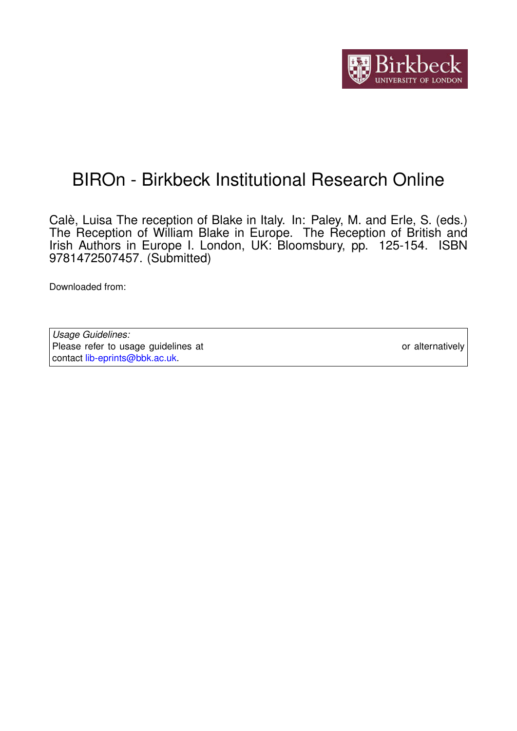

## BIROn - Birkbeck Institutional Research Online

Calè, Luisa The reception of Blake in Italy. In: Paley, M. and Erle, S. (eds.) The Reception of William Blake in Europe. The Reception of British and Irish Authors in Europe I. London, UK: Bloomsbury, pp. 125-154. ISBN 9781472507457. (Submitted)

Downloaded from: <https://eprints.bbk.ac.uk/id/eprint/16768/>

*Usage Guidelines:* Please refer to usage guidelines at <https://eprints.bbk.ac.uk/policies.html> or alternatively contact [lib-eprints@bbk.ac.uk.](mailto:lib-eprints@bbk.ac.uk)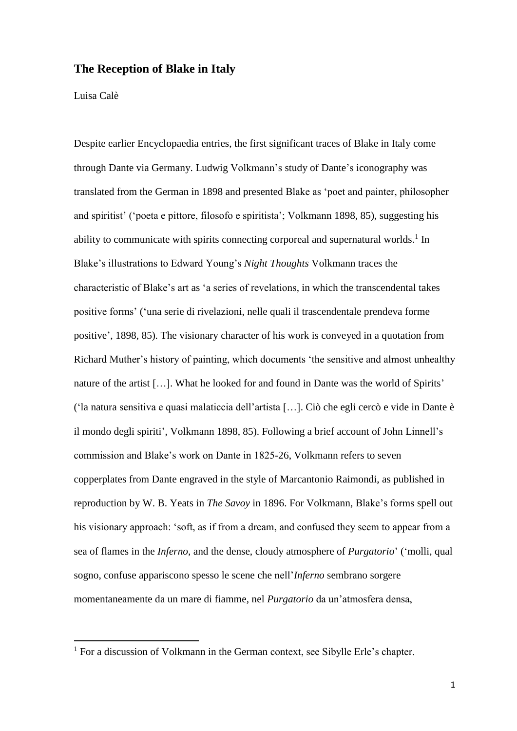## **The Reception of Blake in Italy**

## Luisa Calè

**.** 

Despite earlier Encyclopaedia entries, the first significant traces of Blake in Italy come through Dante via Germany. Ludwig Volkmann's study of Dante's iconography was translated from the German in 1898 and presented Blake as 'poet and painter, philosopher and spiritist' ('poeta e pittore, filosofo e spiritista'; Volkmann 1898, 85), suggesting his ability to communicate with spirits connecting corporeal and supernatural worlds.<sup>1</sup> In Blake's illustrations to Edward Young's *Night Thoughts* Volkmann traces the characteristic of Blake's art as 'a series of revelations, in which the transcendental takes positive forms' ('una serie di rivelazioni, nelle quali il trascendentale prendeva forme positive', 1898, 85)*.* The visionary character of his work is conveyed in a quotation from Richard Muther's history of painting, which documents 'the sensitive and almost unhealthy nature of the artist […]. What he looked for and found in Dante was the world of Spirits' ('la natura sensitiva e quasi malaticcia dell'artista […]. Ciò che egli cercò e vide in Dante è il mondo degli spiriti', Volkmann 1898, 85). Following a brief account of John Linnell's commission and Blake's work on Dante in 1825-26, Volkmann refers to seven copperplates from Dante engraved in the style of Marcantonio Raimondi, as published in reproduction by W. B. Yeats in *The Savoy* in 1896. For Volkmann, Blake's forms spell out his visionary approach: 'soft, as if from a dream, and confused they seem to appear from a sea of flames in the *Inferno*, and the dense, cloudy atmosphere of *Purgatorio*' ('molli, qual sogno, confuse appariscono spesso le scene che nell'*Inferno* sembrano sorgere momentaneamente da un mare di fiamme, nel *Purgatorio* da un'atmosfera densa,

<sup>&</sup>lt;sup>1</sup> For a discussion of Volkmann in the German context, see Sibylle Erle's chapter.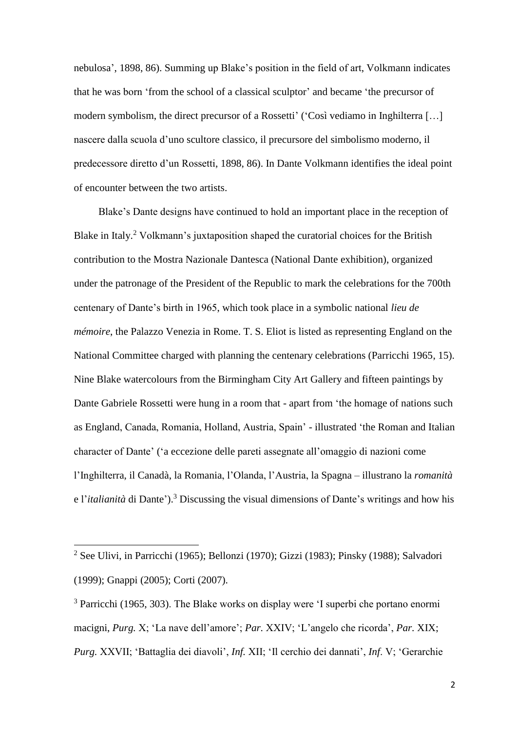nebulosa', 1898, 86). Summing up Blake's position in the field of art, Volkmann indicates that he was born 'from the school of a classical sculptor' and became 'the precursor of modern symbolism, the direct precursor of a Rossetti' ('Così vediamo in Inghilterra […] nascere dalla scuola d'uno scultore classico, il precursore del simbolismo moderno, il predecessore diretto d'un Rossetti, 1898, 86). In Dante Volkmann identifies the ideal point of encounter between the two artists.

Blake's Dante designs have continued to hold an important place in the reception of Blake in Italy.<sup>2</sup> Volkmann's juxtaposition shaped the curatorial choices for the British contribution to the Mostra Nazionale Dantesca (National Dante exhibition), organized under the patronage of the President of the Republic to mark the celebrations for the 700th centenary of Dante's birth in 1965, which took place in a symbolic national *lieu de mémoire*, the Palazzo Venezia in Rome. T. S. Eliot is listed as representing England on the National Committee charged with planning the centenary celebrations (Parricchi 1965, 15). Nine Blake watercolours from the Birmingham City Art Gallery and fifteen paintings by Dante Gabriele Rossetti were hung in a room that - apart from 'the homage of nations such as England, Canada, Romania, Holland, Austria, Spain' - illustrated 'the Roman and Italian character of Dante' ('a eccezione delle pareti assegnate all'omaggio di nazioni come l'Inghilterra, il Canadà, la Romania, l'Olanda, l'Austria, la Spagna – illustrano la *romanità*  e l'*italianità* di Dante'). <sup>3</sup> Discussing the visual dimensions of Dante's writings and how his

 $\overline{a}$ 

<sup>2</sup> See Ulivi, in Parricchi (1965); Bellonzi (1970); Gizzi (1983); Pinsky (1988); Salvadori (1999); Gnappi (2005); Corti (2007).

<sup>3</sup> Parricchi (1965, 303). The Blake works on display were 'I superbi che portano enormi macigni, *Purg.* X; 'La nave dell'amore'; *Par.* XXIV; 'L'angelo che ricorda', *Par.* XIX; *Purg.* XXVII; 'Battaglia dei diavoli', *Inf.* XII; 'Il cerchio dei dannati', *Inf*. V; 'Gerarchie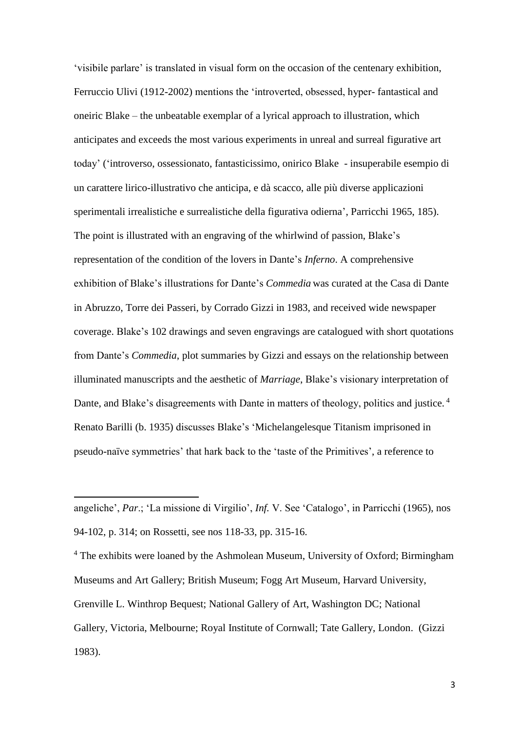'visibile parlare' is translated in visual form on the occasion of the centenary exhibition, Ferruccio Ulivi (1912-2002) mentions the 'introverted, obsessed, hyper- fantastical and oneiric Blake – the unbeatable exemplar of a lyrical approach to illustration, which anticipates and exceeds the most various experiments in unreal and surreal figurative art today' ('introverso, ossessionato, fantasticissimo, onirico Blake - insuperabile esempio di un carattere lirico-illustrativo che anticipa, e dà scacco, alle più diverse applicazioni sperimentali irrealistiche e surrealistiche della figurativa odierna', Parricchi 1965, 185). The point is illustrated with an engraving of the whirlwind of passion, Blake's representation of the condition of the lovers in Dante's *Inferno*. A comprehensive exhibition of Blake's illustrations for Dante's *Commedia* was curated at the Casa di Dante in Abruzzo, Torre dei Passeri, by Corrado Gizzi in 1983, and received wide newspaper coverage. Blake's 102 drawings and seven engravings are catalogued with short quotations from Dante's *Commedia*, plot summaries by Gizzi and essays on the relationship between illuminated manuscripts and the aesthetic of *Marriage*, Blake's visionary interpretation of Dante, and Blake's disagreements with Dante in matters of theology, politics and justice.<sup>4</sup> Renato Barilli (b. 1935) discusses Blake's 'Michelangelesque Titanism imprisoned in pseudo-naïve symmetries' that hark back to the 'taste of the Primitives', a reference to

1

<sup>4</sup> The exhibits were loaned by the Ashmolean Museum, University of Oxford; Birmingham Museums and Art Gallery; British Museum; Fogg Art Museum, Harvard University, Grenville L. Winthrop Bequest; National Gallery of Art, Washington DC; National Gallery, Victoria, Melbourne; Royal Institute of Cornwall; Tate Gallery, London. (Gizzi 1983).

angeliche', *Par*.; 'La missione di Virgilio', *Inf.* V. See 'Catalogo', in Parricchi (1965), nos 94-102, p. 314; on Rossetti, see nos 118-33, pp. 315-16.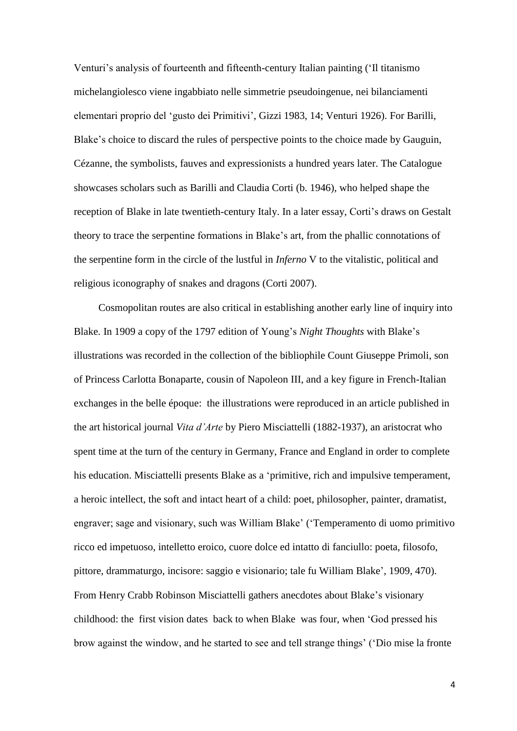Venturi's analysis of fourteenth and fifteenth-century Italian painting ('Il titanismo michelangiolesco viene ingabbiato nelle simmetrie pseudoingenue, nei bilanciamenti elementari proprio del 'gusto dei Primitivi', Gizzi 1983, 14; Venturi 1926). For Barilli, Blake's choice to discard the rules of perspective points to the choice made by Gauguin, Cézanne, the symbolists, fauves and expressionists a hundred years later. The Catalogue showcases scholars such as Barilli and Claudia Corti (b. 1946), who helped shape the reception of Blake in late twentieth-century Italy. In a later essay, Corti's draws on Gestalt theory to trace the serpentine formations in Blake's art, from the phallic connotations of the serpentine form in the circle of the lustful in *Inferno* V to the vitalistic, political and religious iconography of snakes and dragons (Corti 2007).

Cosmopolitan routes are also critical in establishing another early line of inquiry into Blake. In 1909 a copy of the 1797 edition of Young's *Night Thoughts* with Blake's illustrations was recorded in the collection of the bibliophile Count Giuseppe Primoli, son of Princess Carlotta Bonaparte, cousin of Napoleon III, and a key figure in French-Italian exchanges in the belle époque: the illustrations were reproduced in an article published in the art historical journal *Vita d'Arte* by Piero Misciattelli (1882-1937), an aristocrat who spent time at the turn of the century in Germany, France and England in order to complete his education. Misciattelli presents Blake as a 'primitive, rich and impulsive temperament, a heroic intellect, the soft and intact heart of a child: poet, philosopher, painter, dramatist, engraver; sage and visionary, such was William Blake' ('Temperamento di uomo primitivo ricco ed impetuoso, intelletto eroico, cuore dolce ed intatto di fanciullo: poeta, filosofo, pittore, drammaturgo, incisore: saggio e visionario; tale fu William Blake', 1909, 470). From Henry Crabb Robinson Misciattelli gathers anecdotes about Blake's visionary childhood: the first vision dates back to when Blake was four, when 'God pressed his brow against the window, and he started to see and tell strange things' ('Dio mise la fronte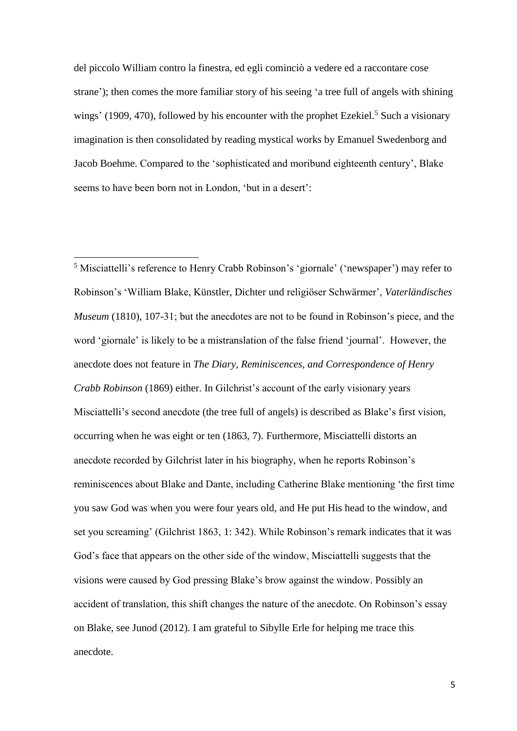del piccolo William contro la finestra, ed egli cominciò a vedere ed a raccontare cose strane'); then comes the more familiar story of his seeing 'a tree full of angels with shining wings' (1909, 470), followed by his encounter with the prophet Ezekiel.<sup>5</sup> Such a visionary imagination is then consolidated by reading mystical works by Emanuel Swedenborg and Jacob Boehme. Compared to the 'sophisticated and moribund eighteenth century', Blake seems to have been born not in London, 'but in a desert':

**.** 

<sup>5</sup> Misciattelli's reference to Henry Crabb Robinson's 'giornale' ('newspaper') may refer to Robinson's 'William Blake, Künstler, Dichter und religiöser Schwärmer', *Vaterländisches Museum* (1810), 107-31; but the anecdotes are not to be found in Robinson's piece, and the word 'giornale' is likely to be a mistranslation of the false friend 'journal'. However, the anecdote does not feature in *The Diary, Reminiscences, and Correspondence of Henry Crabb Robinson* (1869) either. In Gilchrist's account of the early visionary years Misciattelli's second anecdote (the tree full of angels) is described as Blake's first vision, occurring when he was eight or ten (1863, 7). Furthermore, Misciattelli distorts an anecdote recorded by Gilchrist later in his biography, when he reports Robinson's reminiscences about Blake and Dante, including Catherine Blake mentioning 'the first time you saw God was when you were four years old, and He put His head to the window, and set you screaming' (Gilchrist 1863, 1: 342). While Robinson's remark indicates that it was God's face that appears on the other side of the window, Misciattelli suggests that the visions were caused by God pressing Blake's brow against the window. Possibly an accident of translation, this shift changes the nature of the anecdote. On Robinson's essay on Blake, see Junod (2012). I am grateful to Sibylle Erle for helping me trace this anecdote.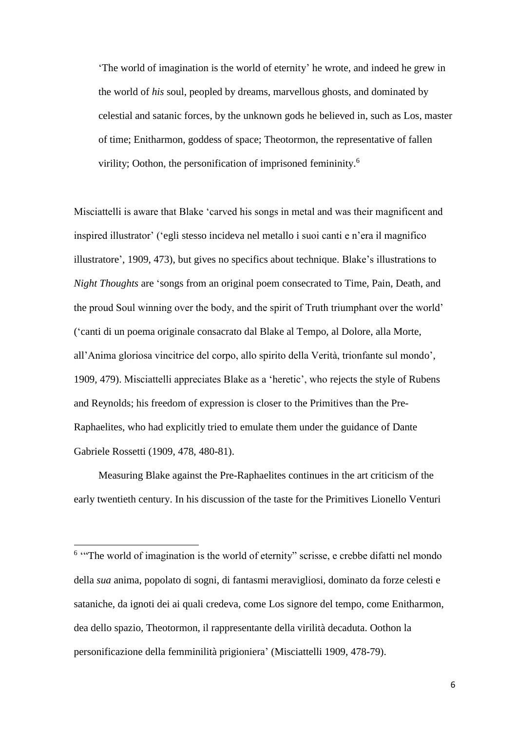'The world of imagination is the world of eternity' he wrote, and indeed he grew in the world of *his* soul, peopled by dreams, marvellous ghosts, and dominated by celestial and satanic forces, by the unknown gods he believed in, such as Los, master of time; Enitharmon, goddess of space; Theotormon, the representative of fallen virility; Oothon, the personification of imprisoned femininity.<sup>6</sup>

Misciattelli is aware that Blake 'carved his songs in metal and was their magnificent and inspired illustrator' ('egli stesso incideva nel metallo i suoi canti e n'era il magnifico illustratore', 1909, 473), but gives no specifics about technique. Blake's illustrations to *Night Thoughts* are 'songs from an original poem consecrated to Time, Pain, Death, and the proud Soul winning over the body, and the spirit of Truth triumphant over the world' ('canti di un poema originale consacrato dal Blake al Tempo, al Dolore, alla Morte, all'Anima gloriosa vincitrice del corpo, allo spirito della Verità, trionfante sul mondo', 1909, 479). Misciattelli appreciates Blake as a 'heretic', who rejects the style of Rubens and Reynolds; his freedom of expression is closer to the Primitives than the Pre-Raphaelites, who had explicitly tried to emulate them under the guidance of Dante Gabriele Rossetti (1909, 478, 480-81).

Measuring Blake against the Pre-Raphaelites continues in the art criticism of the early twentieth century. In his discussion of the taste for the Primitives Lionello Venturi

 $\overline{a}$ 

<sup>&</sup>lt;sup>6</sup> "The world of imagination is the world of eternity" scrisse, e crebbe difatti nel mondo della *sua* anima, popolato di sogni, di fantasmi meravigliosi, dominato da forze celesti e sataniche, da ignoti dei ai quali credeva, come Los signore del tempo, come Enitharmon, dea dello spazio, Theotormon, il rappresentante della virilità decaduta. Oothon la personificazione della femminilità prigioniera' (Misciattelli 1909, 478-79).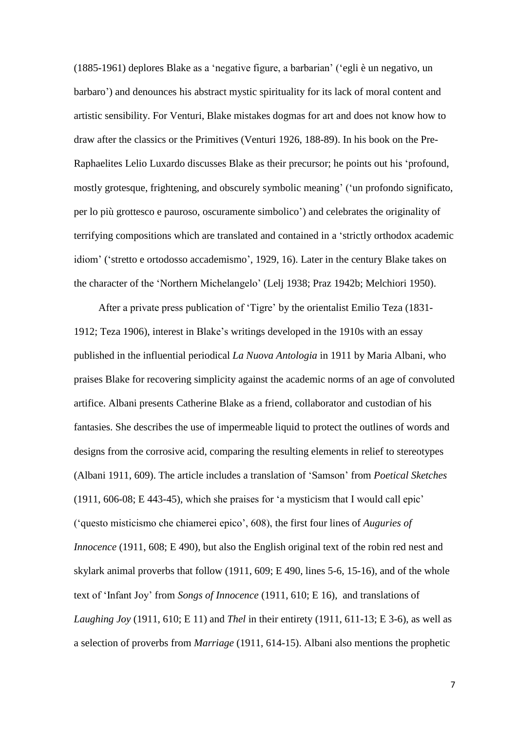(1885-1961) deplores Blake as a 'negative figure, a barbarian' ('egli è un negativo, un barbaro') and denounces his abstract mystic spirituality for its lack of moral content and artistic sensibility. For Venturi, Blake mistakes dogmas for art and does not know how to draw after the classics or the Primitives (Venturi 1926, 188-89). In his book on the Pre-Raphaelites Lelio Luxardo discusses Blake as their precursor; he points out his 'profound, mostly grotesque, frightening, and obscurely symbolic meaning' ('un profondo significato, per lo più grottesco e pauroso, oscuramente simbolico') and celebrates the originality of terrifying compositions which are translated and contained in a 'strictly orthodox academic idiom' ('stretto e ortodosso accademismo', 1929, 16). Later in the century Blake takes on the character of the 'Northern Michelangelo' (Lelj 1938; Praz 1942b; Melchiori 1950).

After a private press publication of 'Tigre' by the orientalist Emilio Teza (1831- 1912; Teza 1906), interest in Blake's writings developed in the 1910s with an essay published in the influential periodical *La Nuova Antologia* in 1911 by Maria Albani, who praises Blake for recovering simplicity against the academic norms of an age of convoluted artifice. Albani presents Catherine Blake as a friend, collaborator and custodian of his fantasies. She describes the use of impermeable liquid to protect the outlines of words and designs from the corrosive acid, comparing the resulting elements in relief to stereotypes (Albani 1911, 609). The article includes a translation of 'Samson' from *Poetical Sketches* (1911, 606-08; E 443-45), which she praises for 'a mysticism that I would call epic' ('questo misticismo che chiamerei epico', 608), the first four lines of *Auguries of Innocence* (1911, 608; E 490), but also the English original text of the robin red nest and skylark animal proverbs that follow (1911, 609; E 490, lines 5-6, 15-16), and of the whole text of 'Infant Joy' from *Songs of Innocence* (1911, 610; E 16), and translations of *Laughing Joy* (1911, 610; E 11) and *Thel* in their entirety (1911, 611-13; E 3-6), as well as a selection of proverbs from *Marriage* (1911, 614-15). Albani also mentions the prophetic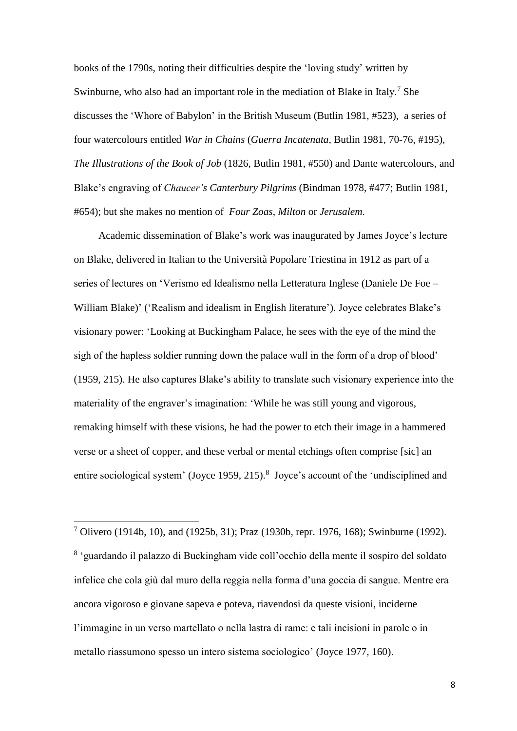books of the 1790s, noting their difficulties despite the 'loving study' written by Swinburne, who also had an important role in the mediation of Blake in Italy.<sup>7</sup> She discusses the 'Whore of Babylon' in the British Museum (Butlin 1981, #523), a series of four watercolours entitled *War in Chains* (*Guerra Incatenata*, Butlin 1981, 70-76, #195), *The Illustrations of the Book of Job* (1826, Butlin 1981, #550) and Dante watercolours, and Blake's engraving of *Chaucer's Canterbury Pilgrims* (Bindman 1978, #477; Butlin 1981, #654); but she makes no mention of *Four Zoas*, *Milton* or *Jerusalem*.

Academic dissemination of Blake's work was inaugurated by James Joyce's lecture on Blake, delivered in Italian to the Università Popolare Triestina in 1912 as part of a series of lectures on 'Verismo ed Idealismo nella Letteratura Inglese (Daniele De Foe – William Blake)' ('Realism and idealism in English literature'). Joyce celebrates Blake's visionary power: 'Looking at Buckingham Palace, he sees with the eye of the mind the sigh of the hapless soldier running down the palace wall in the form of a drop of blood' (1959, 215). He also captures Blake's ability to translate such visionary experience into the materiality of the engraver's imagination: 'While he was still young and vigorous, remaking himself with these visions, he had the power to etch their image in a hammered verse or a sheet of copper, and these verbal or mental etchings often comprise [sic] an entire sociological system' (Joyce 1959, 215).<sup>8</sup> Joyce's account of the 'undisciplined and

<sup>7</sup> Olivero (1914b, 10), and (1925b, 31); Praz (1930b, repr. 1976, 168); Swinburne (1992). 8 'guardando il palazzo di Buckingham vide coll'occhio della mente il sospiro del soldato infelice che cola giù dal muro della reggia nella forma d'una goccia di sangue. Mentre era ancora vigoroso e giovane sapeva e poteva, riavendosi da queste visioni, inciderne l'immagine in un verso martellato o nella lastra di rame: e tali incisioni in parole o in metallo riassumono spesso un intero sistema sociologico' (Joyce 1977, 160).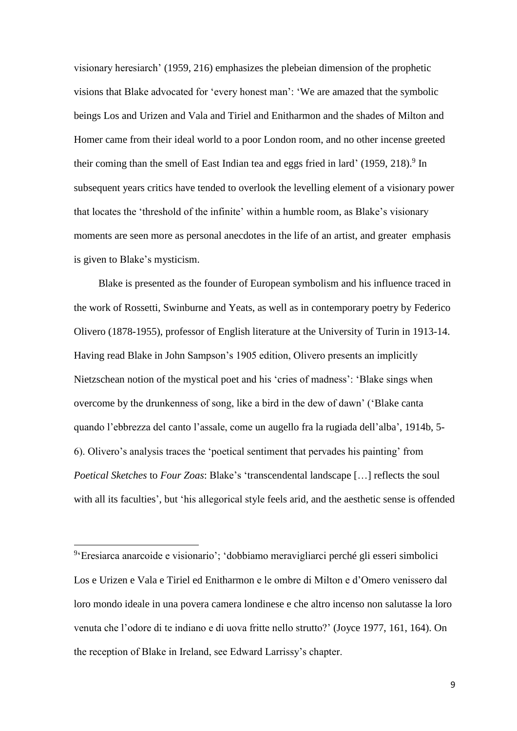visionary heresiarch' (1959, 216) emphasizes the plebeian dimension of the prophetic visions that Blake advocated for 'every honest man': 'We are amazed that the symbolic beings Los and Urizen and Vala and Tiriel and Enitharmon and the shades of Milton and Homer came from their ideal world to a poor London room, and no other incense greeted their coming than the smell of East Indian tea and eggs fried in lard' (1959, 218).<sup>9</sup> In subsequent years critics have tended to overlook the levelling element of a visionary power that locates the 'threshold of the infinite' within a humble room, as Blake's visionary moments are seen more as personal anecdotes in the life of an artist, and greater emphasis is given to Blake's mysticism.

Blake is presented as the founder of European symbolism and his influence traced in the work of Rossetti, Swinburne and Yeats, as well as in contemporary poetry by Federico Olivero (1878-1955), professor of English literature at the University of Turin in 1913-14. Having read Blake in John Sampson's 1905 edition, Olivero presents an implicitly Nietzschean notion of the mystical poet and his 'cries of madness': 'Blake sings when overcome by the drunkenness of song, like a bird in the dew of dawn' ('Blake canta quando l'ebbrezza del canto l'assale, come un augello fra la rugiada dell'alba', 1914b, 5- 6). Olivero's analysis traces the 'poetical sentiment that pervades his painting' from *Poetical Sketches* to *Four Zoas*: Blake's 'transcendental landscape […] reflects the soul with all its faculties', but 'his allegorical style feels arid, and the aesthetic sense is offended

 $\overline{a}$ 

<sup>&</sup>lt;sup>9</sup>'Eresiarca anarcoide e visionario'; 'dobbiamo meravigliarci perché gli esseri simbolici Los e Urizen e Vala e Tiriel ed Enitharmon e le ombre di Milton e d'Omero venissero dal loro mondo ideale in una povera camera londinese e che altro incenso non salutasse la loro venuta che l'odore di te indiano e di uova fritte nello strutto?' (Joyce 1977, 161, 164). On the reception of Blake in Ireland, see Edward Larrissy's chapter.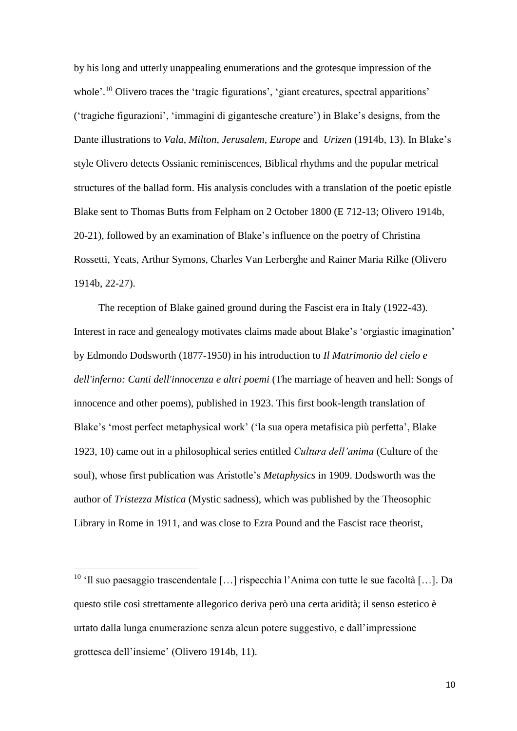by his long and utterly unappealing enumerations and the grotesque impression of the whole'.<sup>10</sup> Olivero traces the 'tragic figurations', 'giant creatures, spectral apparitions' ('tragiche figurazioni', 'immagini di gigantesche creature') in Blake's designs, from the Dante illustrations to *Vala*, *Milton, Jerusalem*, *Europe* and *Urizen* (1914b, 13). In Blake's style Olivero detects Ossianic reminiscences, Biblical rhythms and the popular metrical structures of the ballad form. His analysis concludes with a translation of the poetic epistle Blake sent to Thomas Butts from Felpham on 2 October 1800 (E 712-13; Olivero 1914b, 20-21), followed by an examination of Blake's influence on the poetry of Christina Rossetti, Yeats, Arthur Symons, Charles Van Lerberghe and Rainer Maria Rilke (Olivero 1914b, 22-27).

The reception of Blake gained ground during the Fascist era in Italy (1922-43). Interest in race and genealogy motivates claims made about Blake's 'orgiastic imagination' by Edmondo Dodsworth (1877-1950) in his introduction to *Il Matrimonio del cielo e dell'inferno: Canti dell'innocenza e altri poemi* (The marriage of heaven and hell: Songs of innocence and other poems), published in 1923. This first book-length translation of Blake's 'most perfect metaphysical work' ('la sua opera metafisica più perfetta', Blake 1923, 10) came out in a philosophical series entitled *Cultura dell'anima* (Culture of the soul), whose first publication was Aristotle's *Metaphysics* in 1909. Dodsworth was the author of *Tristezza Mistica* (Mystic sadness), which was published by the Theosophic Library in Rome in 1911, and was close to Ezra Pound and the Fascist race theorist,

<sup>&</sup>lt;sup>10</sup> 'Il suo paesaggio trascendentale [...] rispecchia l'Anima con tutte le sue facoltà [...]. Da questo stile così strettamente allegorico deriva però una certa aridità; il senso estetico è urtato dalla lunga enumerazione senza alcun potere suggestivo, e dall'impressione grottesca dell'insieme' (Olivero 1914b, 11).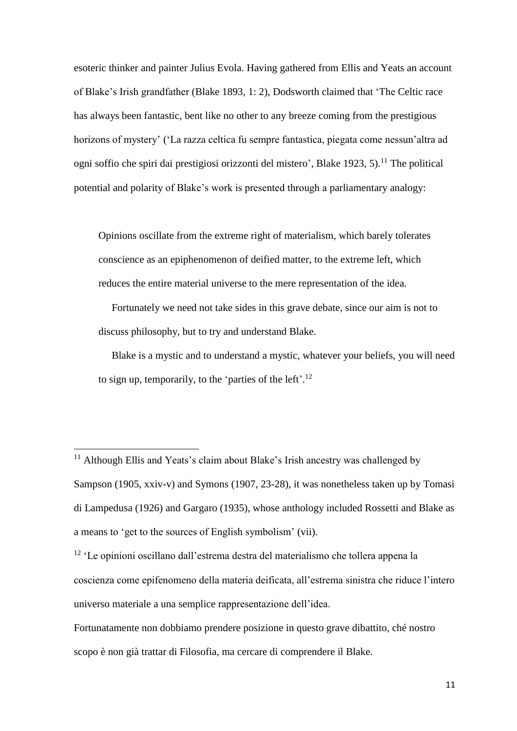esoteric thinker and painter Julius Evola. Having gathered from Ellis and Yeats an account of Blake's Irish grandfather (Blake 1893, 1: 2), Dodsworth claimed that 'The Celtic race has always been fantastic, bent like no other to any breeze coming from the prestigious horizons of mystery' ('La razza celtica fu sempre fantastica, piegata come nessun'altra ad ogni soffio che spiri dai prestigiosi orizzonti del mistero', Blake 1923, 5).<sup>11</sup> The political potential and polarity of Blake's work is presented through a parliamentary analogy:

Opinions oscillate from the extreme right of materialism, which barely tolerates conscience as an epiphenomenon of deified matter, to the extreme left, which reduces the entire material universe to the mere representation of the idea.

Fortunately we need not take sides in this grave debate, since our aim is not to discuss philosophy, but to try and understand Blake.

Blake is a mystic and to understand a mystic, whatever your beliefs, you will need to sign up, temporarily, to the 'parties of the left'.<sup>12</sup>

<sup>&</sup>lt;sup>11</sup> Although Ellis and Yeats's claim about Blake's Irish ancestry was challenged by Sampson (1905, xxiv-v) and Symons (1907, 23-28), it was nonetheless taken up by Tomasi di Lampedusa (1926) and Gargaro (1935), whose anthology included Rossetti and Blake as a means to 'get to the sources of English symbolism' (vii).

<sup>12</sup> 'Le opinioni oscillano dall'estrema destra del materialismo che tollera appena la coscienza come epifenomeno della materia deificata, all'estrema sinistra che riduce l'intero universo materiale a una semplice rappresentazione dell'idea.

Fortunatamente non dobbiamo prendere posizione in questo grave dibattito, ché nostro scopo è non già trattar di Filosofia, ma cercare di comprendere il Blake.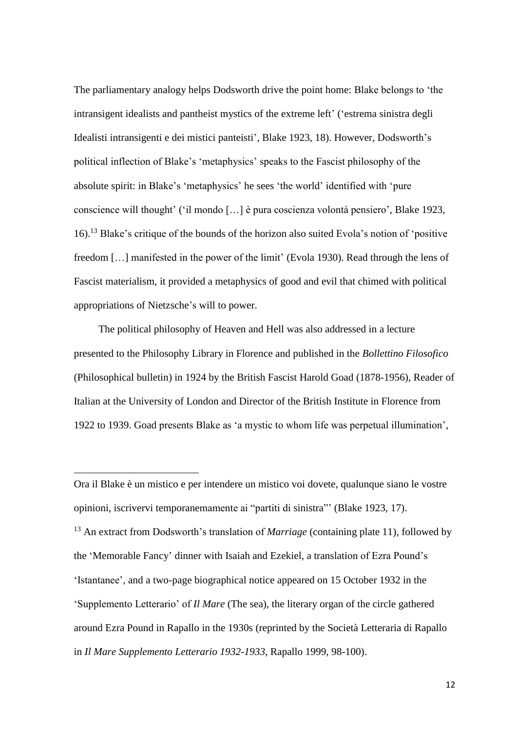The parliamentary analogy helps Dodsworth drive the point home: Blake belongs to 'the intransigent idealists and pantheist mystics of the extreme left' ('estrema sinistra degli Idealisti intransigenti e dei mistici panteisti', Blake 1923, 18). However, Dodsworth's political inflection of Blake's 'metaphysics' speaks to the Fascist philosophy of the absolute spirit: in Blake's 'metaphysics' he sees 'the world' identified with 'pure conscience will thought' ('il mondo […] è pura coscienza volontà pensiero', Blake 1923, 16). <sup>13</sup> Blake's critique of the bounds of the horizon also suited Evola's notion of 'positive freedom […] manifested in the power of the limit' (Evola 1930). Read through the lens of Fascist materialism, it provided a metaphysics of good and evil that chimed with political appropriations of Nietzsche's will to power.

The political philosophy of Heaven and Hell was also addressed in a lecture presented to the Philosophy Library in Florence and published in the *Bollettino Filosofico* (Philosophical bulletin) in 1924 by the British Fascist Harold Goad (1878-1956), Reader of Italian at the University of London and Director of the British Institute in Florence from 1922 to 1939. Goad presents Blake as 'a mystic to whom life was perpetual illumination',

 $\overline{a}$ 

<sup>13</sup> An extract from Dodsworth's translation of *Marriage* (containing plate 11), followed by the 'Memorable Fancy' dinner with Isaiah and Ezekiel, a translation of Ezra Pound's 'Istantanee', and a two-page biographical notice appeared on 15 October 1932 in the 'Supplemento Letterario' of *Il Mare* (The sea), the literary organ of the circle gathered around Ezra Pound in Rapallo in the 1930s (reprinted by the Società Letteraria di Rapallo in *Il Mare Supplemento Letterario 1932-1933*, Rapallo 1999, 98-100).

Ora il Blake è un mistico e per intendere un mistico voi dovete, qualunque siano le vostre opinioni, iscrivervi temporanemamente ai "partiti di sinistra"' (Blake 1923, 17).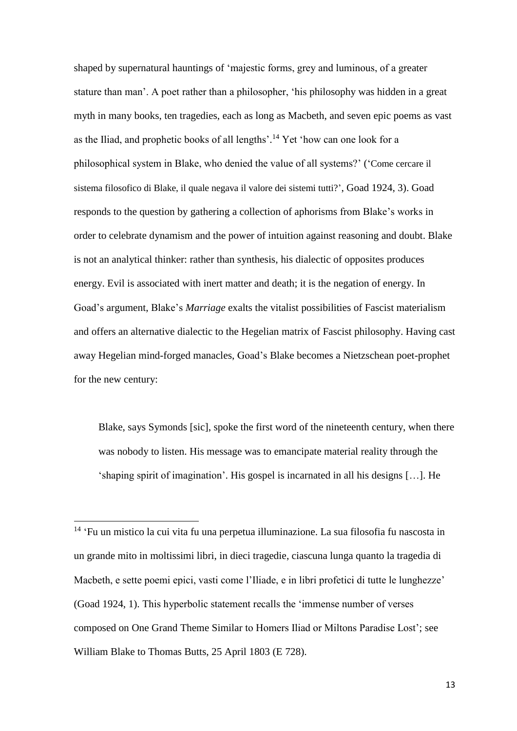shaped by supernatural hauntings of 'majestic forms, grey and luminous, of a greater stature than man'. A poet rather than a philosopher, 'his philosophy was hidden in a great myth in many books, ten tragedies, each as long as Macbeth, and seven epic poems as vast as the Iliad, and prophetic books of all lengths'. <sup>14</sup> Yet 'how can one look for a philosophical system in Blake, who denied the value of all systems?' ('Come cercare il sistema filosofico di Blake, il quale negava il valore dei sistemi tutti?', Goad 1924, 3). Goad responds to the question by gathering a collection of aphorisms from Blake's works in order to celebrate dynamism and the power of intuition against reasoning and doubt. Blake is not an analytical thinker: rather than synthesis, his dialectic of opposites produces energy. Evil is associated with inert matter and death; it is the negation of energy. In Goad's argument, Blake's *Marriage* exalts the vitalist possibilities of Fascist materialism and offers an alternative dialectic to the Hegelian matrix of Fascist philosophy. Having cast away Hegelian mind-forged manacles, Goad's Blake becomes a Nietzschean poet-prophet for the new century:

Blake, says Symonds [sic], spoke the first word of the nineteenth century, when there was nobody to listen. His message was to emancipate material reality through the 'shaping spirit of imagination'. His gospel is incarnated in all his designs […]. He

<sup>14</sup> 'Fu un mistico la cui vita fu una perpetua illuminazione. La sua filosofia fu nascosta in un grande mito in moltissimi libri, in dieci tragedie, ciascuna lunga quanto la tragedia di Macbeth, e sette poemi epici, vasti come l'Iliade, e in libri profetici di tutte le lunghezze' (Goad 1924, 1). This hyperbolic statement recalls the 'immense number of verses composed on One Grand Theme Similar to Homers Iliad or Miltons Paradise Lost'; see William Blake to Thomas Butts, 25 April 1803 (E 728).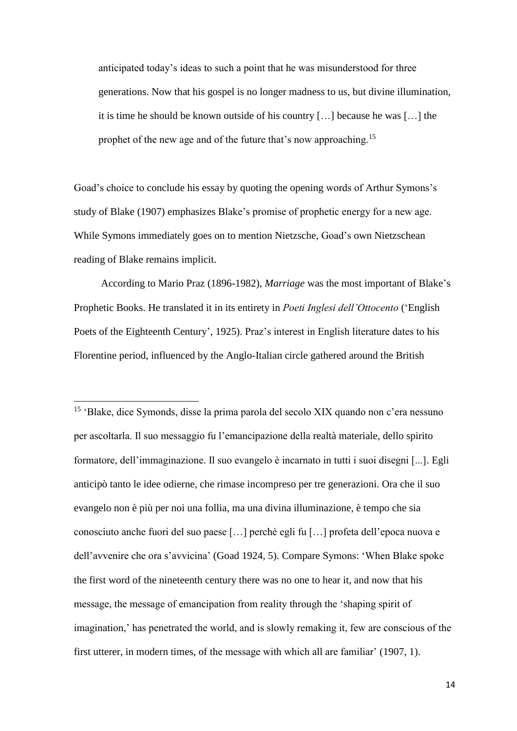anticipated today's ideas to such a point that he was misunderstood for three generations. Now that his gospel is no longer madness to us, but divine illumination, it is time he should be known outside of his country […] because he was […] the prophet of the new age and of the future that's now approaching.<sup>15</sup>

Goad's choice to conclude his essay by quoting the opening words of Arthur Symons's study of Blake (1907) emphasizes Blake's promise of prophetic energy for a new age. While Symons immediately goes on to mention Nietzsche, Goad's own Nietzschean reading of Blake remains implicit.

According to Mario Praz (1896-1982), *Marriage* was the most important of Blake's Prophetic Books. He translated it in its entirety in *Poeti Inglesi dell'Ottocento* ('English Poets of the Eighteenth Century', 1925). Praz's interest in English literature dates to his Florentine period, influenced by the Anglo-Italian circle gathered around the British

**.** 

15 'Blake, dice Symonds, disse la prima parola del secolo XIX quando non c'era nessuno per ascoltarla. Il suo messaggio fu l'emancipazione della realtà materiale, dello spirito formatore, dell'immaginazione. Il suo evangelo è incarnato in tutti i suoi disegni [...]. Egli anticipò tanto le idee odierne, che rimase incompreso per tre generazioni. Ora che il suo evangelo non è più per noi una follia, ma una divina illuminazione, è tempo che sia conosciuto anche fuori del suo paese […] perchè egli fu […] profeta dell'epoca nuova e dell'avvenire che ora s'avvicina' (Goad 1924, 5). Compare Symons: 'When Blake spoke the first word of the nineteenth century there was no one to hear it, and now that his message, the message of emancipation from reality through the 'shaping spirit of imagination,' has penetrated the world, and is slowly remaking it, few are conscious of the first utterer, in modern times, of the message with which all are familiar' (1907, 1).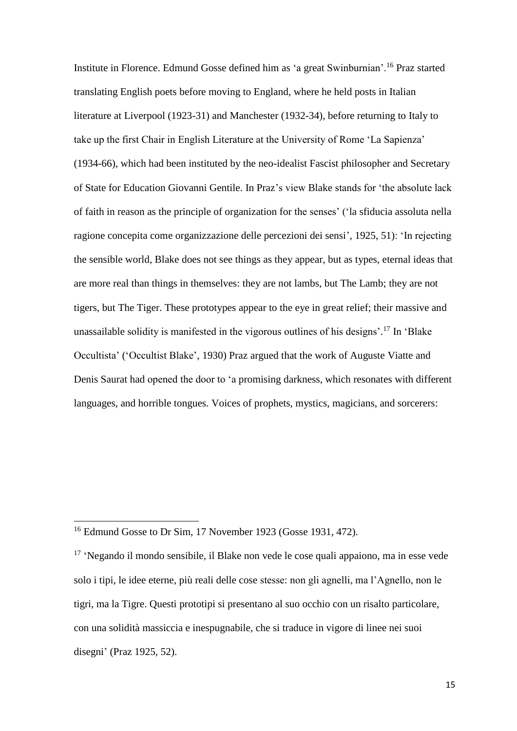Institute in Florence. Edmund Gosse defined him as 'a great Swinburnian'.<sup>16</sup> Praz started translating English poets before moving to England, where he held posts in Italian literature at Liverpool (1923-31) and Manchester (1932-34), before returning to Italy to take up the first Chair in English Literature at the University of Rome 'La Sapienza' (1934-66), which had been instituted by the neo-idealist Fascist philosopher and Secretary of State for Education Giovanni Gentile. In Praz's view Blake stands for 'the absolute lack of faith in reason as the principle of organization for the senses' ('la sfiducia assoluta nella ragione concepita come organizzazione delle percezioni dei sensi', 1925, 51): 'In rejecting the sensible world, Blake does not see things as they appear, but as types, eternal ideas that are more real than things in themselves: they are not lambs, but The Lamb; they are not tigers, but The Tiger. These prototypes appear to the eye in great relief; their massive and unassailable solidity is manifested in the vigorous outlines of his designs'. <sup>17</sup> In 'Blake Occultista' ('Occultist Blake', 1930) Praz argued that the work of Auguste Viatte and Denis Saurat had opened the door to 'a promising darkness, which resonates with different languages, and horrible tongues. Voices of prophets, mystics, magicians, and sorcerers:

<sup>&</sup>lt;sup>16</sup> Edmund Gosse to Dr Sim, 17 November 1923 (Gosse 1931, 472).

<sup>&</sup>lt;sup>17</sup> 'Negando il mondo sensibile, il Blake non vede le cose quali appaiono, ma in esse vede solo i tipi, le idee eterne, più reali delle cose stesse: non gli agnelli, ma l'Agnello, non le tigri, ma la Tigre. Questi prototipi si presentano al suo occhio con un risalto particolare, con una solidità massiccia e inespugnabile, che si traduce in vigore di linee nei suoi disegni' (Praz 1925, 52).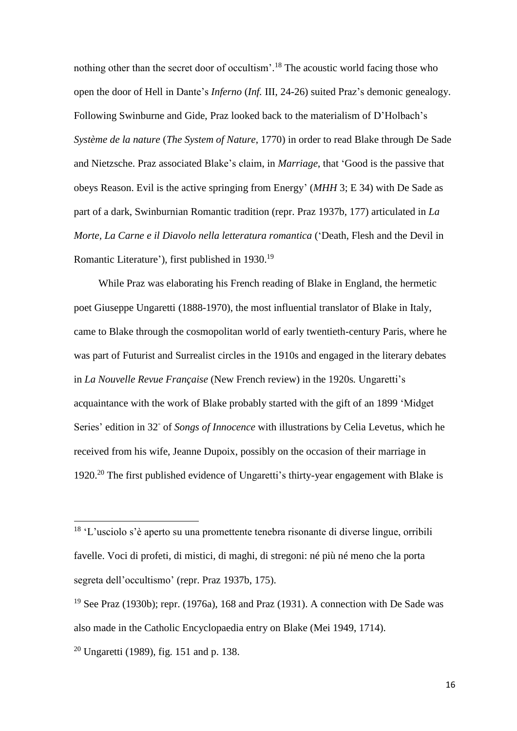nothing other than the secret door of occultism'. <sup>18</sup> The acoustic world facing those who open the door of Hell in Dante's *Inferno* (*Inf.* III, 24-26) suited Praz's demonic genealogy. Following Swinburne and Gide, Praz looked back to the materialism of D'Holbach's *Système de la nature* (*The System of Nature*, 1770) in order to read Blake through De Sade and Nietzsche. Praz associated Blake's claim, in *Marriage*, that 'Good is the passive that obeys Reason. Evil is the active springing from Energy' (*MHH* 3; E 34) with De Sade as part of a dark, Swinburnian Romantic tradition (repr. Praz 1937b, 177) articulated in *La Morte, La Carne e il Diavolo nella letteratura romantica* ('Death, Flesh and the Devil in Romantic Literature'), first published in 1930.<sup>19</sup>

While Praz was elaborating his French reading of Blake in England, the hermetic poet Giuseppe Ungaretti (1888-1970), the most influential translator of Blake in Italy, came to Blake through the cosmopolitan world of early twentieth-century Paris, where he was part of Futurist and Surrealist circles in the 1910s and engaged in the literary debates in *La Nouvelle Revue Française* (New French review) in the 1920s*.* Ungaretti's acquaintance with the work of Blake probably started with the gift of an 1899 'Midget Series' edition in 32◦ of *Songs of Innocence* with illustrations by Celia Levetus, which he received from his wife, Jeanne Dupoix, possibly on the occasion of their marriage in 1920. <sup>20</sup> The first published evidence of Ungaretti's thirty-year engagement with Blake is

<sup>18</sup> 'L'usciolo s'è aperto su una promettente tenebra risonante di diverse lingue, orribili favelle. Voci di profeti, di mistici, di maghi, di stregoni: né più né meno che la porta segreta dell'occultismo' (repr. Praz 1937b, 175).

<sup>&</sup>lt;sup>19</sup> See Praz (1930b); repr. (1976a), 168 and Praz (1931). A connection with De Sade was also made in the Catholic Encyclopaedia entry on Blake (Mei 1949, 1714).

<sup>20</sup> Ungaretti (1989), fig. 151 and p. 138.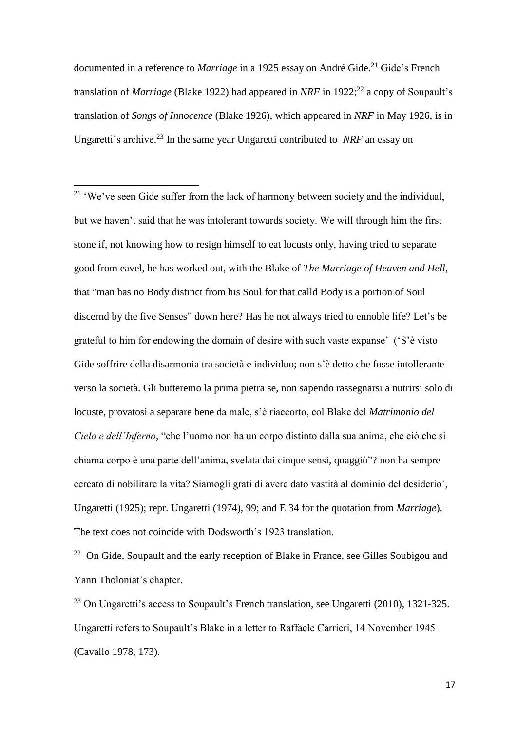documented in a reference to *Marriage* in a 1925 essay on André Gide. <sup>21</sup> Gide's French translation of *Marriage* (Blake 1922) had appeared in *NRF* in 1922;<sup>22</sup> a copy of Soupault's translation of *Songs of Innocence* (Blake 1926), which appeared in *NRF* in May 1926, is in Ungaretti's archive.<sup>23</sup> In the same year Ungaretti contributed to *NRF* an essay on

**.** 

<sup>22</sup> On Gide, Soupault and the early reception of Blake in France, see Gilles Soubigou and Yann Tholoniat's chapter.

<sup>23</sup> On Ungaretti's access to Soupault's French translation, see Ungaretti (2010), 1321-325. Ungaretti refers to Soupault's Blake in a letter to Raffaele Carrieri, 14 November 1945 (Cavallo 1978, 173).

<sup>&</sup>lt;sup>21</sup> 'We've seen Gide suffer from the lack of harmony between society and the individual, but we haven't said that he was intolerant towards society. We will through him the first stone if, not knowing how to resign himself to eat locusts only, having tried to separate good from eavel, he has worked out, with the Blake of *The Marriage of Heaven and Hell*, that "man has no Body distinct from his Soul for that calld Body is a portion of Soul discernd by the five Senses" down here? Has he not always tried to ennoble life? Let's be grateful to him for endowing the domain of desire with such vaste expanse' ('S'è visto Gide soffrire della disarmonia tra società e individuo; non s'è detto che fosse intollerante verso la società. Gli butteremo la prima pietra se, non sapendo rassegnarsi a nutrirsi solo di locuste, provatosi a separare bene da male, s'è riaccorto, col Blake del *Matrimonio del Cielo e dell'Inferno*, "che l'uomo non ha un corpo distinto dalla sua anima, che ciò che si chiama corpo è una parte dell'anima, svelata dai cinque sensi, quaggiù"? non ha sempre cercato di nobilitare la vita? Siamogli grati di avere dato vastità al dominio del desiderio', Ungaretti (1925); repr. Ungaretti (1974), 99; and E 34 for the quotation from *Marriage*). The text does not coincide with Dodsworth's 1923 translation.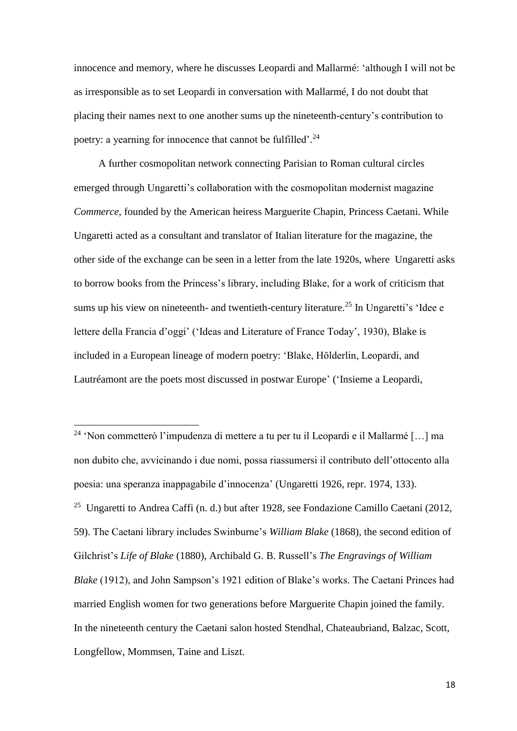innocence and memory, where he discusses Leopardi and Mallarmé: 'although I will not be as irresponsible as to set Leopardi in conversation with Mallarmé, I do not doubt that placing their names next to one another sums up the nineteenth-century's contribution to poetry: a yearning for innocence that cannot be fulfilled'.<sup>24</sup>

A further cosmopolitan network connecting Parisian to Roman cultural circles emerged through Ungaretti's collaboration with the cosmopolitan modernist magazine *Commerce*, founded by the American heiress Marguerite Chapin, Princess Caetani. While Ungaretti acted as a consultant and translator of Italian literature for the magazine, the other side of the exchange can be seen in a letter from the late 1920s, where Ungaretti asks to borrow books from the Princess's library, including Blake, for a work of criticism that sums up his view on nineteenth- and twentieth-century literature.<sup>25</sup> In Ungaretti's 'Idee e lettere della Francia d'oggi' ('Ideas and Literature of France Today', 1930), Blake is included in a European lineage of modern poetry: 'Blake, Hölderlin, Leopardi, and Lautréamont are the poets most discussed in postwar Europe' ('Insieme a Leopardi,

<sup>24</sup> 'Non commetterò l'impudenza di mettere a tu per tu il Leopardi e il Mallarmé […] ma non dubito che, avvicinando i due nomi, possa riassumersi il contributo dell'ottocento alla poesia: una speranza inappagabile d'innocenza' (Ungaretti 1926, repr. 1974, 133). <sup>25</sup> Ungaretti to Andrea Caffi (n. d.) but after 1928, see Fondazione Camillo Caetani (2012, 59). The Caetani library includes Swinburne's *William Blake* (1868), the second edition of Gilchrist's *Life of Blake* (1880), Archibald G. B. Russell's *The Engravings of William Blake* (1912), and John Sampson's 1921 edition of Blake's works. The Caetani Princes had married English women for two generations before Marguerite Chapin joined the family. In the nineteenth century the Caetani salon hosted Stendhal, Chateaubriand, Balzac, Scott, Longfellow, Mommsen, Taine and Liszt.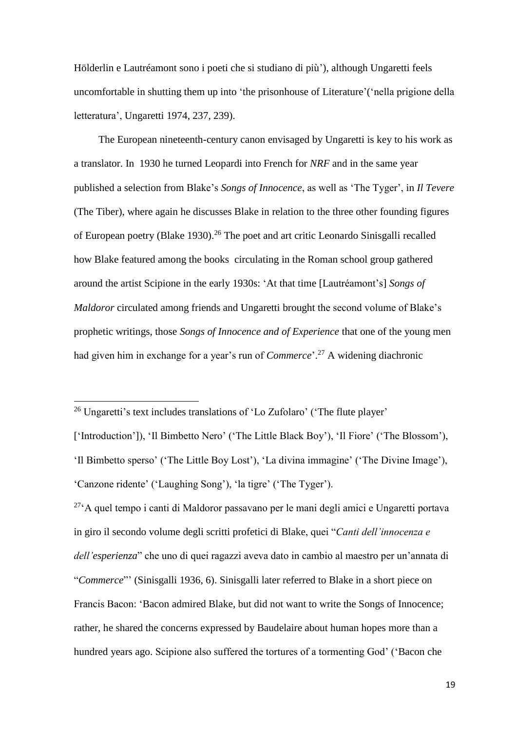Hölderlin e Lautréamont sono i poeti che si studiano di più'), although Ungaretti feels uncomfortable in shutting them up into 'the prisonhouse of Literature'('nella prigione della letteratura', Ungaretti 1974, 237, 239).

The European nineteenth-century canon envisaged by Ungaretti is key to his work as a translator. In 1930 he turned Leopardi into French for *NRF* and in the same year published a selection from Blake's *Songs of Innocence*, as well as 'The Tyger', in *Il Tevere* (The Tiber), where again he discusses Blake in relation to the three other founding figures of European poetry (Blake 1930).<sup>26</sup> The poet and art critic Leonardo Sinisgalli recalled how Blake featured among the books circulating in the Roman school group gathered around the artist Scipione in the early 1930s: 'At that time [Lautréamont's] *Songs of Maldoror* circulated among friends and Ungaretti brought the second volume of Blake's prophetic writings, those *Songs of Innocence and of Experience* that one of the young men had given him in exchange for a year's run of *Commerce*'. <sup>27</sup> A widening diachronic

**.** 

 $27^\circ$ A quel tempo i canti di Maldoror passavano per le mani degli amici e Ungaretti portava in giro il secondo volume degli scritti profetici di Blake, quei "*Canti dell'innocenza e dell'esperienza*" che uno di quei ragazzi aveva dato in cambio al maestro per un'annata di "*Commerce*"' (Sinisgalli 1936, 6). Sinisgalli later referred to Blake in a short piece on Francis Bacon: 'Bacon admired Blake, but did not want to write the Songs of Innocence; rather, he shared the concerns expressed by Baudelaire about human hopes more than a hundred years ago. Scipione also suffered the tortures of a tormenting God' ('Bacon che

<sup>&</sup>lt;sup>26</sup> Ungaretti's text includes translations of 'Lo Zufolaro' ('The flute player'

<sup>[&#</sup>x27;Introduction']), 'Il Bimbetto Nero' ('The Little Black Boy'), 'Il Fiore' ('The Blossom'), 'Il Bimbetto sperso' ('The Little Boy Lost'), 'La divina immagine' ('The Divine Image'), 'Canzone ridente' ('Laughing Song'), 'la tigre' ('The Tyger').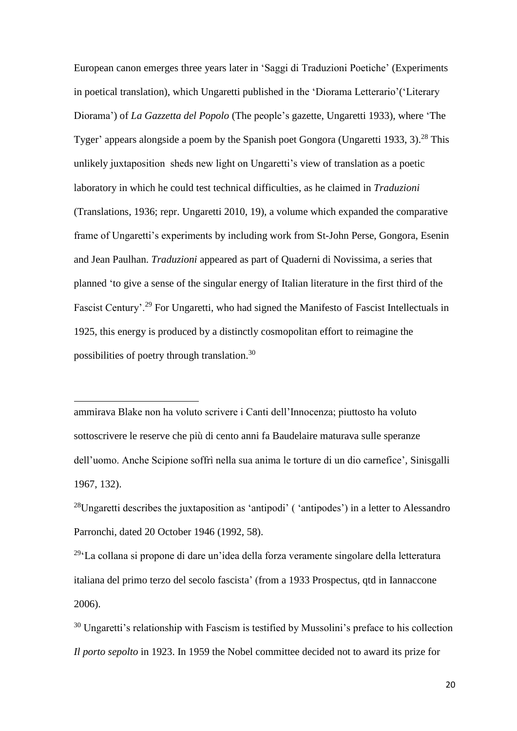European canon emerges three years later in 'Saggi di Traduzioni Poetiche' (Experiments in poetical translation), which Ungaretti published in the 'Diorama Letterario'('Literary Diorama') of *La Gazzetta del Popolo* (The people's gazette, Ungaretti 1933), where 'The Tyger' appears alongside a poem by the Spanish poet Gongora (Ungaretti 1933, 3).<sup>28</sup> This unlikely juxtaposition sheds new light on Ungaretti's view of translation as a poetic laboratory in which he could test technical difficulties, as he claimed in *Traduzioni* (Translations, 1936; repr. Ungaretti 2010, 19), a volume which expanded the comparative frame of Ungaretti's experiments by including work from St-John Perse, Gongora, Esenin and Jean Paulhan. *Traduzioni* appeared as part of Quaderni di Novissima, a series that planned 'to give a sense of the singular energy of Italian literature in the first third of the Fascist Century'.<sup>29</sup> For Ungaretti, who had signed the Manifesto of Fascist Intellectuals in 1925, this energy is produced by a distinctly cosmopolitan effort to reimagine the possibilities of poetry through translation.<sup>30</sup>

ammirava Blake non ha voluto scrivere i Canti dell'Innocenza; piuttosto ha voluto sottoscrivere le reserve che più di cento anni fa Baudelaire maturava sulle speranze dell'uomo. Anche Scipione soffrì nella sua anima le torture di un dio carnefice', Sinisgalli 1967, 132).

**.** 

<sup>28</sup>Ungaretti describes the juxtaposition as 'antipodi' ( 'antipodes') in a letter to Alessandro Parronchi, dated 20 October 1946 (1992, 58).

<sup>29</sup>'La collana si propone di dare un'idea della forza veramente singolare della letteratura italiana del primo terzo del secolo fascista' (from a 1933 Prospectus, qtd in Iannaccone 2006).

<sup>30</sup> Ungaretti's relationship with Fascism is testified by Mussolini's preface to his collection *Il porto sepolto* in 1923. In 1959 the Nobel committee decided not to award its prize for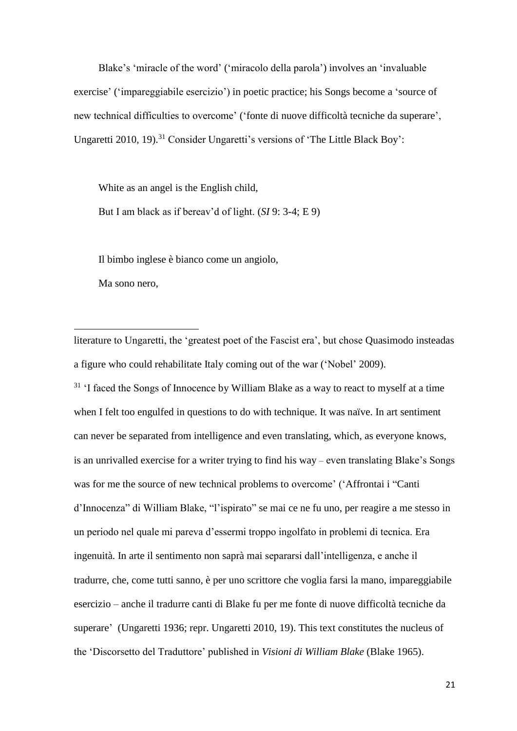Blake's 'miracle of the word' ('miracolo della parola') involves an 'invaluable exercise' ('impareggiabile esercizio') in poetic practice; his Songs become a 'source of new technical difficulties to overcome' ('fonte di nuove difficoltà tecniche da superare', Ungaretti 2010, 19).<sup>31</sup> Consider Ungaretti's versions of 'The Little Black Boy':

White as an angel is the English child, But I am black as if bereav'd of light. (*SI* 9: 3-4; E 9)

Il bimbo inglese è bianco come un angiolo,

Ma sono nero,

**.** 

literature to Ungaretti, the 'greatest poet of the Fascist era', but chose Quasimodo insteadas a figure who could rehabilitate Italy coming out of the war ('Nobel' 2009).

 $31$  'I faced the Songs of Innocence by William Blake as a way to react to myself at a time when I felt too engulfed in questions to do with technique. It was naïve. In art sentiment can never be separated from intelligence and even translating, which, as everyone knows, is an unrivalled exercise for a writer trying to find his way – even translating Blake's Songs was for me the source of new technical problems to overcome' ('Affrontai i "Canti d'Innocenza" di William Blake, "l'ispirato" se mai ce ne fu uno, per reagire a me stesso in un periodo nel quale mi pareva d'essermi troppo ingolfato in problemi di tecnica. Era ingenuità. In arte il sentimento non saprà mai separarsi dall'intelligenza, e anche il tradurre, che, come tutti sanno, è per uno scrittore che voglia farsi la mano, impareggiabile esercizio – anche il tradurre canti di Blake fu per me fonte di nuove difficoltà tecniche da superare' (Ungaretti 1936; repr. Ungaretti 2010, 19). This text constitutes the nucleus of the 'Discorsetto del Traduttore' published in *Visioni di William Blake* (Blake 1965).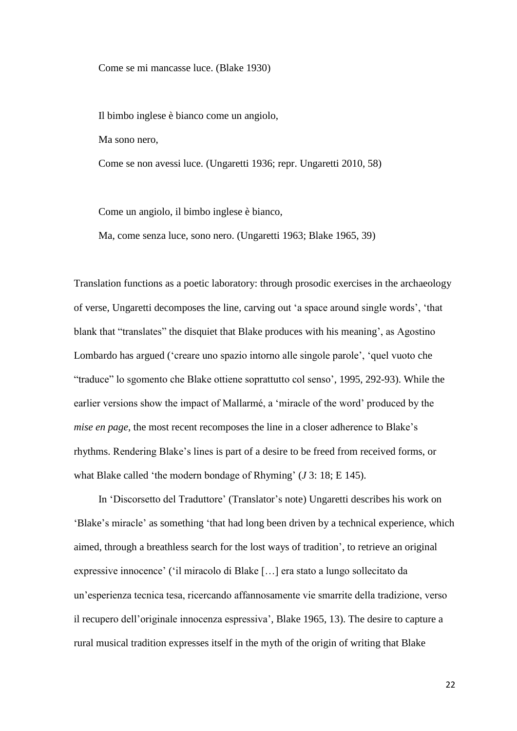Come se mi mancasse luce. (Blake 1930)

Il bimbo inglese è bianco come un angiolo,

Ma sono nero,

Come se non avessi luce. (Ungaretti 1936; repr. Ungaretti 2010, 58)

Come un angiolo, il bimbo inglese è bianco,

Ma, come senza luce, sono nero. (Ungaretti 1963; Blake 1965, 39)

Translation functions as a poetic laboratory: through prosodic exercises in the archaeology of verse, Ungaretti decomposes the line, carving out 'a space around single words', 'that blank that "translates" the disquiet that Blake produces with his meaning', as Agostino Lombardo has argued ('creare uno spazio intorno alle singole parole', 'quel vuoto che "traduce" lo sgomento che Blake ottiene soprattutto col senso', 1995, 292-93). While the earlier versions show the impact of Mallarmé, a 'miracle of the word' produced by the *mise en page*, the most recent recomposes the line in a closer adherence to Blake's rhythms. Rendering Blake's lines is part of a desire to be freed from received forms, or what Blake called 'the modern bondage of Rhyming' (*J* 3: 18; E 145).

In 'Discorsetto del Traduttore' (Translator's note) Ungaretti describes his work on 'Blake's miracle' as something 'that had long been driven by a technical experience, which aimed, through a breathless search for the lost ways of tradition', to retrieve an original expressive innocence' ('il miracolo di Blake […] era stato a lungo sollecitato da un'esperienza tecnica tesa, ricercando affannosamente vie smarrite della tradizione, verso il recupero dell'originale innocenza espressiva', Blake 1965, 13). The desire to capture a rural musical tradition expresses itself in the myth of the origin of writing that Blake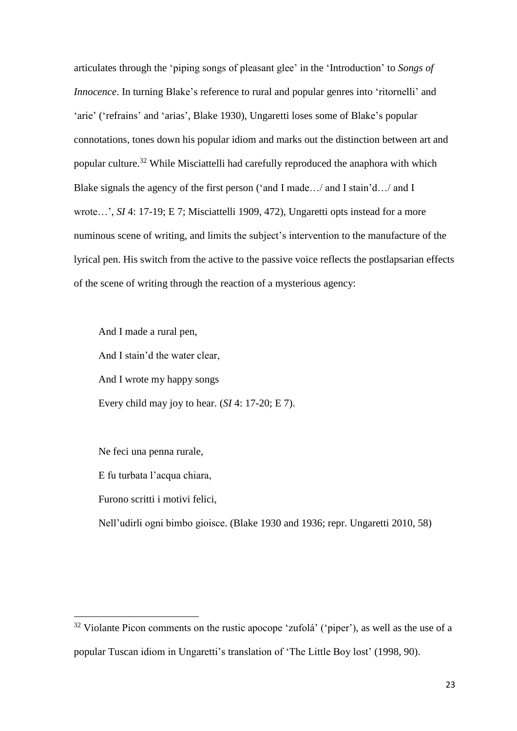articulates through the 'piping songs of pleasant glee' in the 'Introduction' to *Songs of Innocence*. In turning Blake's reference to rural and popular genres into 'ritornelli' and 'arie' ('refrains' and 'arias', Blake 1930), Ungaretti loses some of Blake's popular connotations, tones down his popular idiom and marks out the distinction between art and popular culture.<sup>32</sup> While Misciattelli had carefully reproduced the anaphora with which Blake signals the agency of the first person ('and I made…/ and I stain'd…/ and I wrote…', *SI* 4: 17-19; E 7; Misciattelli 1909, 472), Ungaretti opts instead for a more numinous scene of writing, and limits the subject's intervention to the manufacture of the lyrical pen. His switch from the active to the passive voice reflects the postlapsarian effects of the scene of writing through the reaction of a mysterious agency:

And I made a rural pen, And I stain'd the water clear, And I wrote my happy songs Every child may joy to hear. (*SI* 4: 17-20; E 7).

Ne feci una penna rurale,

E fu turbata l'acqua chiara,

Furono scritti i motivi felici,

1

Nell'udirli ogni bimbo gioisce. (Blake 1930 and 1936; repr. Ungaretti 2010, 58)

 $32$  Violante Picon comments on the rustic apocope 'zufolá' ('piper'), as well as the use of a popular Tuscan idiom in Ungaretti's translation of 'The Little Boy lost' (1998, 90).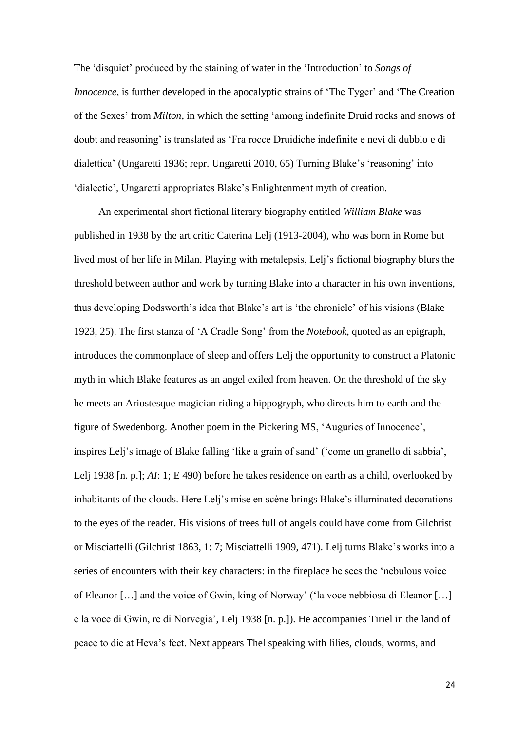The 'disquiet' produced by the staining of water in the 'Introduction' to *Songs of Innocence*, is further developed in the apocalyptic strains of 'The Tyger' and 'The Creation of the Sexes' from *Milton*, in which the setting 'among indefinite Druid rocks and snows of doubt and reasoning' is translated as 'Fra rocce Druidiche indefinite e nevi di dubbio e di dialettica' (Ungaretti 1936; repr. Ungaretti 2010, 65) Turning Blake's 'reasoning' into 'dialectic', Ungaretti appropriates Blake's Enlightenment myth of creation.

An experimental short fictional literary biography entitled *William Blake* was published in 1938 by the art critic Caterina Lelj (1913-2004), who was born in Rome but lived most of her life in Milan. Playing with metalepsis, Lelj's fictional biography blurs the threshold between author and work by turning Blake into a character in his own inventions, thus developing Dodsworth's idea that Blake's art is 'the chronicle' of his visions (Blake 1923, 25). The first stanza of 'A Cradle Song' from the *Notebook*, quoted as an epigraph, introduces the commonplace of sleep and offers Lelj the opportunity to construct a Platonic myth in which Blake features as an angel exiled from heaven. On the threshold of the sky he meets an Ariostesque magician riding a hippogryph, who directs him to earth and the figure of Swedenborg. Another poem in the Pickering MS, 'Auguries of Innocence', inspires Lelj's image of Blake falling 'like a grain of sand' ('come un granello di sabbia', Lelj 1938 [n. p.]; *AI*: 1; E 490) before he takes residence on earth as a child, overlooked by inhabitants of the clouds. Here Lelj's mise en scène brings Blake's illuminated decorations to the eyes of the reader. His visions of trees full of angels could have come from Gilchrist or Misciattelli (Gilchrist 1863, 1: 7; Misciattelli 1909, 471). Lelj turns Blake's works into a series of encounters with their key characters: in the fireplace he sees the 'nebulous voice of Eleanor […] and the voice of Gwin, king of Norway' ('la voce nebbiosa di Eleanor […] e la voce di Gwin, re di Norvegia', Lelj 1938 [n. p.]). He accompanies Tiriel in the land of peace to die at Heva's feet. Next appears Thel speaking with lilies, clouds, worms, and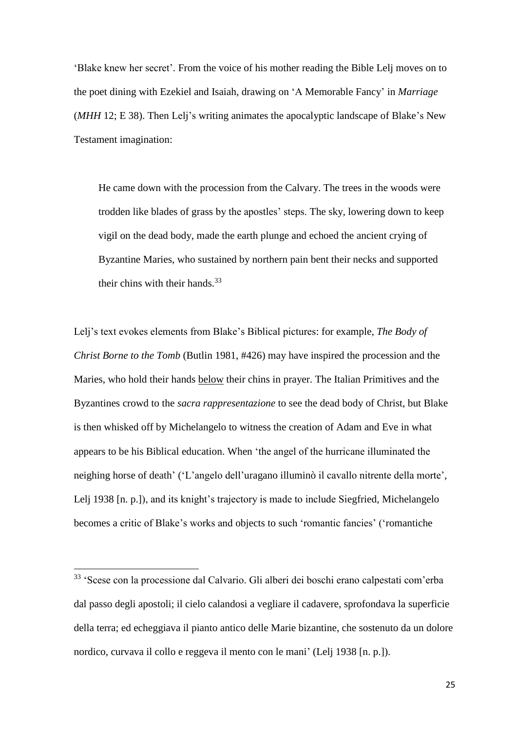'Blake knew her secret'. From the voice of his mother reading the Bible Lelj moves on to the poet dining with Ezekiel and Isaiah, drawing on 'A Memorable Fancy' in *Marriage*  (*MHH* 12; E 38). Then Lelj's writing animates the apocalyptic landscape of Blake's New Testament imagination:

He came down with the procession from the Calvary. The trees in the woods were trodden like blades of grass by the apostles' steps. The sky, lowering down to keep vigil on the dead body, made the earth plunge and echoed the ancient crying of Byzantine Maries, who sustained by northern pain bent their necks and supported their chins with their hands.<sup>33</sup>

Lelj's text evokes elements from Blake's Biblical pictures: for example, *The Body of Christ Borne to the Tomb* (Butlin 1981, #426) may have inspired the procession and the Maries, who hold their hands below their chins in prayer. The Italian Primitives and the Byzantines crowd to the *sacra rappresentazione* to see the dead body of Christ, but Blake is then whisked off by Michelangelo to witness the creation of Adam and Eve in what appears to be his Biblical education. When 'the angel of the hurricane illuminated the neighing horse of death' ('L'angelo dell'uragano illuminò il cavallo nitrente della morte', Lelj 1938 [n. p.]), and its knight's trajectory is made to include Siegfried, Michelangelo becomes a critic of Blake's works and objects to such 'romantic fancies' ('romantiche

<sup>33</sup> 'Scese con la processione dal Calvario. Gli alberi dei boschi erano calpestati com'erba dal passo degli apostoli; il cielo calandosi a vegliare il cadavere, sprofondava la superficie della terra; ed echeggiava il pianto antico delle Marie bizantine, che sostenuto da un dolore nordico, curvava il collo e reggeva il mento con le mani' (Lelj 1938 [n. p.]).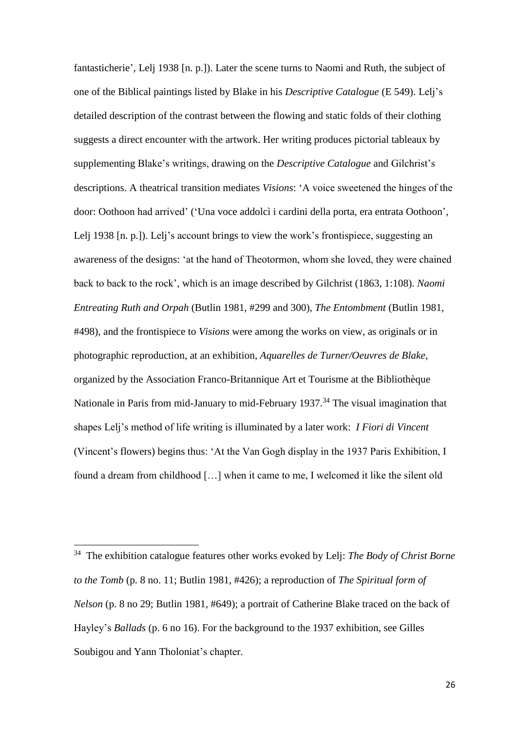fantasticherie', Lelj 1938 [n. p.]). Later the scene turns to Naomi and Ruth, the subject of one of the Biblical paintings listed by Blake in his *Descriptive Catalogue* (E 549). Lelj's detailed description of the contrast between the flowing and static folds of their clothing suggests a direct encounter with the artwork. Her writing produces pictorial tableaux by supplementing Blake's writings, drawing on the *Descriptive Catalogue* and Gilchrist's descriptions. A theatrical transition mediates *Visions*: 'A voice sweetened the hinges of the door: Oothoon had arrived' ('Una voce addolcì i cardini della porta, era entrata Oothoon', Lelj 1938 [n. p.]). Lelj's account brings to view the work's frontispiece, suggesting an awareness of the designs: 'at the hand of Theotormon, whom she loved, they were chained back to back to the rock', which is an image described by Gilchrist (1863, 1:108). *Naomi Entreating Ruth and Orpah* (Butlin 1981, #299 and 300), *The Entombment* (Butlin 1981, #498), and the frontispiece to *Visions* were among the works on view, as originals or in photographic reproduction, at an exhibition, *Aquarelles de Turner/Oeuvres de Blake*, organized by the Association Franco-Britannique Art et Tourisme at the Bibliothèque Nationale in Paris from mid-January to mid-February 1937.<sup>34</sup> The visual imagination that shapes Lelj's method of life writing is illuminated by a later work: *I Fiori di Vincent* (Vincent's flowers) begins thus: 'At the Van Gogh display in the 1937 Paris Exhibition, I found a dream from childhood […] when it came to me, I welcomed it like the silent old

 $\overline{a}$ 

<sup>34</sup> The exhibition catalogue features other works evoked by Lelj: *The Body of Christ Borne to the Tomb* (p. 8 no. 11; Butlin 1981, #426); a reproduction of *The Spiritual form of Nelson* (p. 8 no 29; Butlin 1981, #649); a portrait of Catherine Blake traced on the back of Hayley's *Ballads* (p. 6 no 16). For the background to the 1937 exhibition, see Gilles Soubigou and Yann Tholoniat's chapter.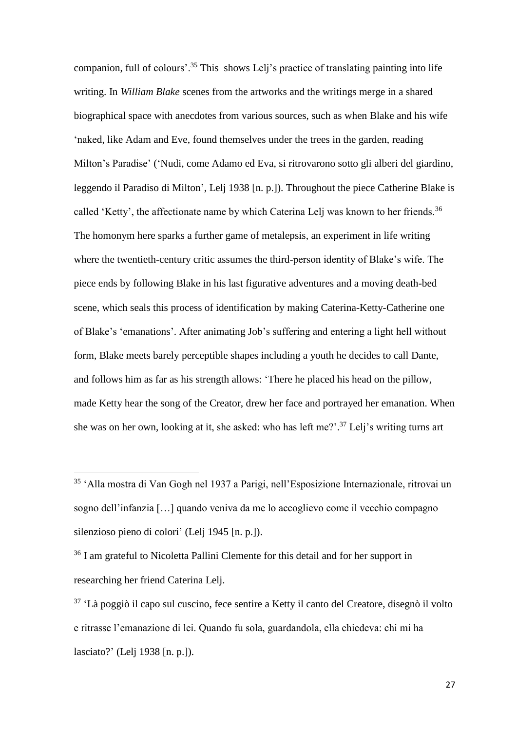companion, full of colours'.<sup>35</sup> This shows Lelj's practice of translating painting into life writing. In *William Blake* scenes from the artworks and the writings merge in a shared biographical space with anecdotes from various sources, such as when Blake and his wife 'naked, like Adam and Eve, found themselves under the trees in the garden, reading Milton's Paradise' ('Nudi, come Adamo ed Eva, si ritrovarono sotto gli alberi del giardino, leggendo il Paradiso di Milton', Lelj 1938 [n. p.]). Throughout the piece Catherine Blake is called 'Ketty', the affectionate name by which Caterina Lelj was known to her friends.<sup>36</sup> The homonym here sparks a further game of metalepsis, an experiment in life writing where the twentieth-century critic assumes the third-person identity of Blake's wife. The piece ends by following Blake in his last figurative adventures and a moving death-bed scene, which seals this process of identification by making Caterina-Ketty-Catherine one of Blake's 'emanations'. After animating Job's suffering and entering a light hell without form, Blake meets barely perceptible shapes including a youth he decides to call Dante, and follows him as far as his strength allows: 'There he placed his head on the pillow, made Ketty hear the song of the Creator, drew her face and portrayed her emanation. When she was on her own, looking at it, she asked: who has left me?'. <sup>37</sup> Lelj's writing turns art

 $\overline{a}$ 

<sup>35</sup> 'Alla mostra di Van Gogh nel 1937 a Parigi, nell'Esposizione Internazionale, ritrovai un sogno dell'infanzia […] quando veniva da me lo accoglievo come il vecchio compagno silenzioso pieno di colori' (Lelj 1945 [n. p.]).

<sup>36</sup> I am grateful to Nicoletta Pallini Clemente for this detail and for her support in researching her friend Caterina Lelj.

<sup>37</sup> 'Là poggiò il capo sul cuscino, fece sentire a Ketty il canto del Creatore, disegnò il volto e ritrasse l'emanazione di lei. Quando fu sola, guardandola, ella chiedeva: chi mi ha lasciato?' (Lelj 1938 [n. p.]).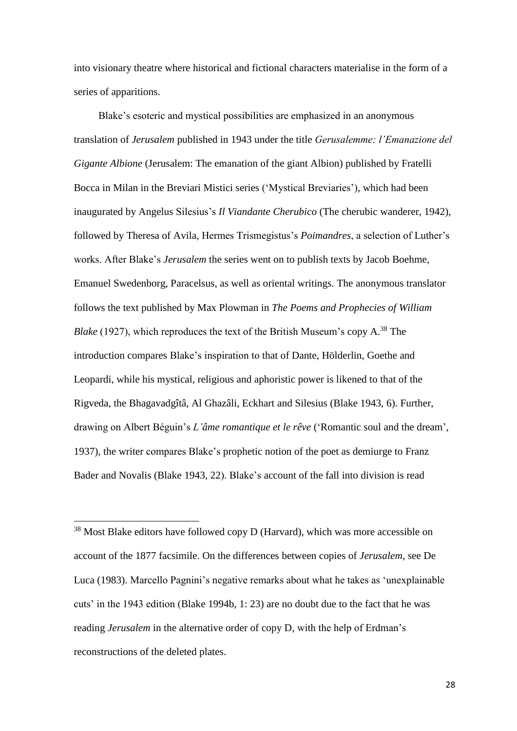into visionary theatre where historical and fictional characters materialise in the form of a series of apparitions.

Blake's esoteric and mystical possibilities are emphasized in an anonymous translation of *Jerusalem* published in 1943 under the title *Gerusalemme: l'Emanazione del Gigante Albione* (Jerusalem: The emanation of the giant Albion) published by Fratelli Bocca in Milan in the Breviari Mistici series ('Mystical Breviaries'), which had been inaugurated by Angelus Silesius's *Il Viandante Cherubico* (The cherubic wanderer, 1942), followed by Theresa of Avila, Hermes Trismegistus's *Poimandres*, a selection of Luther's works. After Blake's *Jerusalem* the series went on to publish texts by Jacob Boehme, Emanuel Swedenborg, Paracelsus, as well as oriental writings. The anonymous translator follows the text published by Max Plowman in *The Poems and Prophecies of William Blake* (1927), which reproduces the text of the British Museum's copy A.<sup>38</sup> The introduction compares Blake's inspiration to that of Dante, Hölderlin, Goethe and Leopardi, while his mystical, religious and aphoristic power is likened to that of the Rigveda, the Bhagavadgîtâ, Al Ghazâli, Eckhart and Silesius (Blake 1943, 6). Further, drawing on Albert Béguin's *L'âme romantique et le rêve* ('Romantic soul and the dream', 1937), the writer compares Blake's prophetic notion of the poet as demiurge to Franz Bader and Novalis (Blake 1943, 22). Blake's account of the fall into division is read

<sup>38</sup> Most Blake editors have followed copy D (Harvard), which was more accessible on account of the 1877 facsimile. On the differences between copies of *Jerusalem*, see De Luca (1983). Marcello Pagnini's negative remarks about what he takes as 'unexplainable cuts' in the 1943 edition (Blake 1994b, 1: 23) are no doubt due to the fact that he was reading *Jerusalem* in the alternative order of copy D, with the help of Erdman's reconstructions of the deleted plates.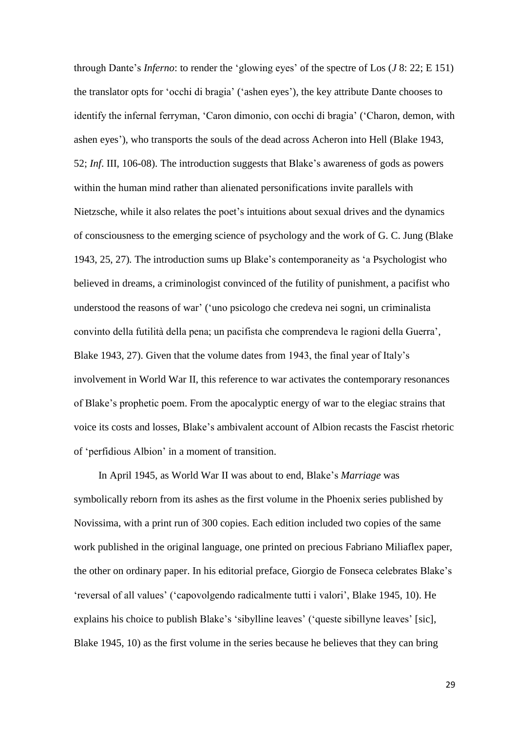through Dante's *Inferno*: to render the 'glowing eyes' of the spectre of Los (*J* 8: 22; E 151) the translator opts for 'occhi di bragia' ('ashen eyes'), the key attribute Dante chooses to identify the infernal ferryman, 'Caron dimonio, con occhi di bragia' ('Charon, demon, with ashen eyes'), who transports the souls of the dead across Acheron into Hell (Blake 1943, 52; *Inf*. III, 106-08). The introduction suggests that Blake's awareness of gods as powers within the human mind rather than alienated personifications invite parallels with Nietzsche, while it also relates the poet's intuitions about sexual drives and the dynamics of consciousness to the emerging science of psychology and the work of G. C. Jung (Blake 1943, 25, 27)*.* The introduction sums up Blake's contemporaneity as 'a Psychologist who believed in dreams, a criminologist convinced of the futility of punishment, a pacifist who understood the reasons of war' ('uno psicologo che credeva nei sogni, un criminalista convinto della futilità della pena; un pacifista che comprendeva le ragioni della Guerra', Blake 1943, 27). Given that the volume dates from 1943, the final year of Italy's involvement in World War II, this reference to war activates the contemporary resonances of Blake's prophetic poem. From the apocalyptic energy of war to the elegiac strains that voice its costs and losses, Blake's ambivalent account of Albion recasts the Fascist rhetoric of 'perfidious Albion' in a moment of transition.

In April 1945, as World War II was about to end, Blake's *Marriage* was symbolically reborn from its ashes as the first volume in the Phoenix series published by Novissima, with a print run of 300 copies. Each edition included two copies of the same work published in the original language, one printed on precious Fabriano Miliaflex paper, the other on ordinary paper. In his editorial preface, Giorgio de Fonseca celebrates Blake's 'reversal of all values' ('capovolgendo radicalmente tutti i valori', Blake 1945, 10). He explains his choice to publish Blake's 'sibylline leaves' ('queste sibillyne leaves' [sic], Blake 1945, 10) as the first volume in the series because he believes that they can bring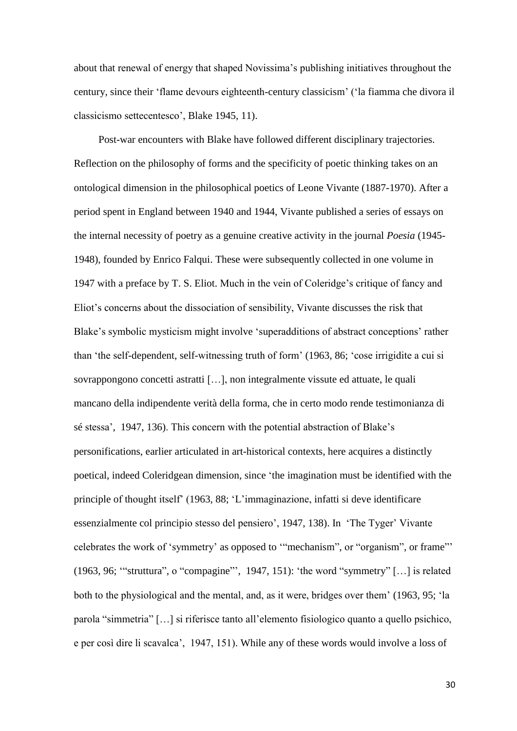about that renewal of energy that shaped Novissima's publishing initiatives throughout the century, since their 'flame devours eighteenth-century classicism' ('la fiamma che divora il classicismo settecentesco', Blake 1945, 11).

Post-war encounters with Blake have followed different disciplinary trajectories. Reflection on the philosophy of forms and the specificity of poetic thinking takes on an ontological dimension in the philosophical poetics of Leone Vivante (1887-1970). After a period spent in England between 1940 and 1944, Vivante published a series of essays on the internal necessity of poetry as a genuine creative activity in the journal *Poesia* (1945- 1948), founded by Enrico Falqui. These were subsequently collected in one volume in 1947 with a preface by T. S. Eliot. Much in the vein of Coleridge's critique of fancy and Eliot's concerns about the dissociation of sensibility, Vivante discusses the risk that Blake's symbolic mysticism might involve 'superadditions of abstract conceptions' rather than 'the self-dependent, self-witnessing truth of form' (1963, 86; 'cose irrigidite a cui si sovrappongono concetti astratti […], non integralmente vissute ed attuate, le quali mancano della indipendente verità della forma, che in certo modo rende testimonianza di sé stessa', 1947, 136). This concern with the potential abstraction of Blake's personifications, earlier articulated in art-historical contexts, here acquires a distinctly poetical, indeed Coleridgean dimension, since 'the imagination must be identified with the principle of thought itself' (1963, 88; 'L'immaginazione, infatti si deve identificare essenzialmente col principio stesso del pensiero', 1947, 138). In 'The Tyger' Vivante celebrates the work of 'symmetry' as opposed to '"mechanism", or "organism", or frame"' (1963, 96; '"struttura", o "compagine"', 1947, 151): 'the word "symmetry" […] is related both to the physiological and the mental, and, as it were, bridges over them' (1963, 95; 'la parola "simmetria" […] si riferisce tanto all'elemento fisiologico quanto a quello psichico, e per così dire li scavalca', 1947, 151). While any of these words would involve a loss of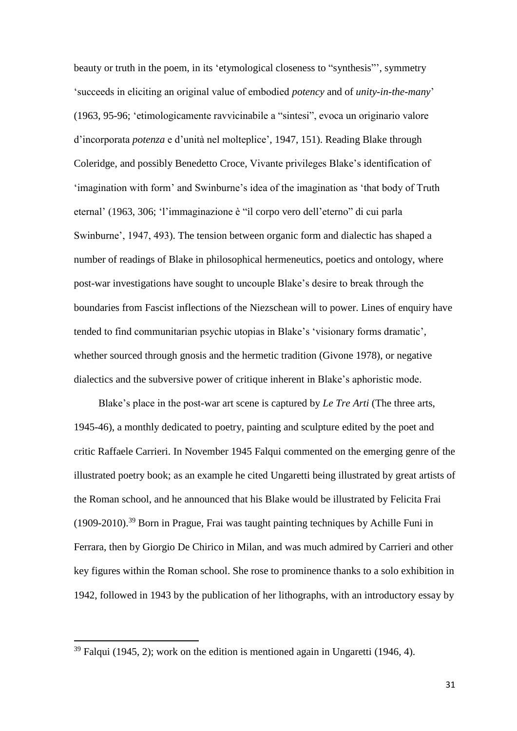beauty or truth in the poem, in its 'etymological closeness to "synthesis"', symmetry 'succeeds in eliciting an original value of embodied *potency* and of *unity-in-the-many*' (1963, 95-96; 'etimologicamente ravvicinabile a "sintesi", evoca un originario valore d'incorporata *potenza* e d'unità nel molteplice', 1947, 151). Reading Blake through Coleridge, and possibly Benedetto Croce, Vivante privileges Blake's identification of 'imagination with form' and Swinburne's idea of the imagination as 'that body of Truth eternal' (1963, 306; 'l'immaginazione è "il corpo vero dell'eterno" di cui parla Swinburne', 1947, 493). The tension between organic form and dialectic has shaped a number of readings of Blake in philosophical hermeneutics, poetics and ontology, where post-war investigations have sought to uncouple Blake's desire to break through the boundaries from Fascist inflections of the Niezschean will to power. Lines of enquiry have tended to find communitarian psychic utopias in Blake's 'visionary forms dramatic', whether sourced through gnosis and the hermetic tradition (Givone 1978), or negative dialectics and the subversive power of critique inherent in Blake's aphoristic mode.

Blake's place in the post-war art scene is captured by *Le Tre Arti* (The three arts, 1945-46), a monthly dedicated to poetry, painting and sculpture edited by the poet and critic Raffaele Carrieri. In November 1945 Falqui commented on the emerging genre of the illustrated poetry book; as an example he cited Ungaretti being illustrated by great artists of the Roman school, and he announced that his Blake would be illustrated by Felicita Frai (1909-2010). <sup>39</sup> Born in Prague, Frai was taught painting techniques by Achille Funi in Ferrara, then by Giorgio De Chirico in Milan, and was much admired by Carrieri and other key figures within the Roman school. She rose to prominence thanks to a solo exhibition in 1942, followed in 1943 by the publication of her lithographs, with an introductory essay by

 $39$  Falqui (1945, 2); work on the edition is mentioned again in Ungaretti (1946, 4).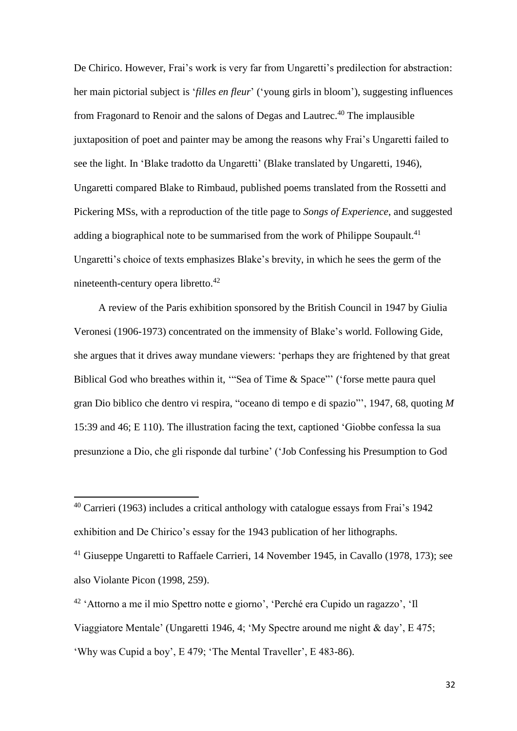De Chirico. However, Frai's work is very far from Ungaretti's predilection for abstraction: her main pictorial subject is '*filles en fleur*' ('young girls in bloom'), suggesting influences from Fragonard to Renoir and the salons of Degas and Lautrec.<sup>40</sup> The implausible juxtaposition of poet and painter may be among the reasons why Frai's Ungaretti failed to see the light. In 'Blake tradotto da Ungaretti' (Blake translated by Ungaretti, 1946), Ungaretti compared Blake to Rimbaud, published poems translated from the Rossetti and Pickering MSs, with a reproduction of the title page to *Songs of Experience*, and suggested adding a biographical note to be summarised from the work of Philippe Soupault.<sup>41</sup> Ungaretti's choice of texts emphasizes Blake's brevity, in which he sees the germ of the nineteenth-century opera libretto.<sup>42</sup>

A review of the Paris exhibition sponsored by the British Council in 1947 by Giulia Veronesi (1906-1973) concentrated on the immensity of Blake's world. Following Gide, she argues that it drives away mundane viewers: 'perhaps they are frightened by that great Biblical God who breathes within it, "Sea of Time & Space"' ('forse mette paura quel gran Dio biblico che dentro vi respira, "oceano di tempo e di spazio"', 1947, 68, quoting *M* 15:39 and 46; E 110). The illustration facing the text, captioned 'Giobbe confessa la sua presunzione a Dio, che gli risponde dal turbine' ('Job Confessing his Presumption to God

<sup>40</sup> Carrieri (1963) includes a critical anthology with catalogue essays from Frai's 1942 exhibition and De Chirico's essay for the 1943 publication of her lithographs.

<sup>&</sup>lt;sup>41</sup> Giuseppe Ungaretti to Raffaele Carrieri, 14 November 1945, in Cavallo (1978, 173); see also Violante Picon (1998, 259).

<sup>42</sup> 'Attorno a me il mio Spettro notte e giorno', 'Perché era Cupido un ragazzo', 'Il Viaggiatore Mentale' (Ungaretti 1946, 4; 'My Spectre around me night & day', E 475; 'Why was Cupid a boy', E 479; 'The Mental Traveller', E 483-86).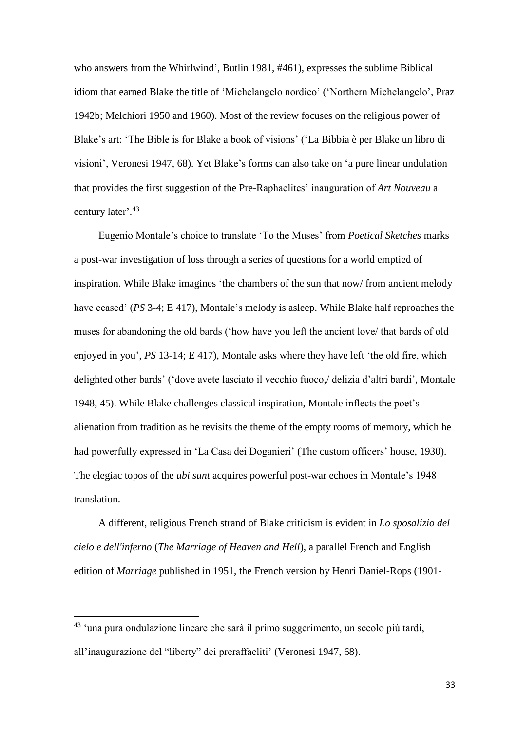who answers from the Whirlwind', Butlin 1981, #461), expresses the sublime Biblical idiom that earned Blake the title of 'Michelangelo nordico' ('Northern Michelangelo', Praz 1942b; Melchiori 1950 and 1960). Most of the review focuses on the religious power of Blake's art: 'The Bible is for Blake a book of visions' ('La Bibbia è per Blake un libro di visioni', Veronesi 1947, 68). Yet Blake's forms can also take on 'a pure linear undulation that provides the first suggestion of the Pre-Raphaelites' inauguration of *Art Nouveau* a century later'. 43

Eugenio Montale's choice to translate 'To the Muses' from *Poetical Sketches* marks a post-war investigation of loss through a series of questions for a world emptied of inspiration. While Blake imagines 'the chambers of the sun that now/ from ancient melody have ceased' (*PS* 3-4; E 417), Montale's melody is asleep. While Blake half reproaches the muses for abandoning the old bards ('how have you left the ancient love/ that bards of old enjoyed in you', *PS* 13-14; E 417), Montale asks where they have left 'the old fire, which delighted other bards' ('dove avete lasciato il vecchio fuoco,/ delizia d'altri bardi', Montale 1948, 45). While Blake challenges classical inspiration, Montale inflects the poet's alienation from tradition as he revisits the theme of the empty rooms of memory, which he had powerfully expressed in 'La Casa dei Doganieri' (The custom officers' house, 1930). The elegiac topos of the *ubi sunt* acquires powerful post-war echoes in Montale's 1948 translation.

A different, religious French strand of Blake criticism is evident in *Lo sposalizio del cielo e dell'inferno* (*The Marriage of Heaven and Hell*), a parallel French and English edition of *Marriage* published in 1951, the French version by Henri Daniel-Rops (1901-

<sup>43</sup> 'una pura ondulazione lineare che sarà il primo suggerimento, un secolo più tardi, all'inaugurazione del "liberty" dei preraffaeliti' (Veronesi 1947, 68).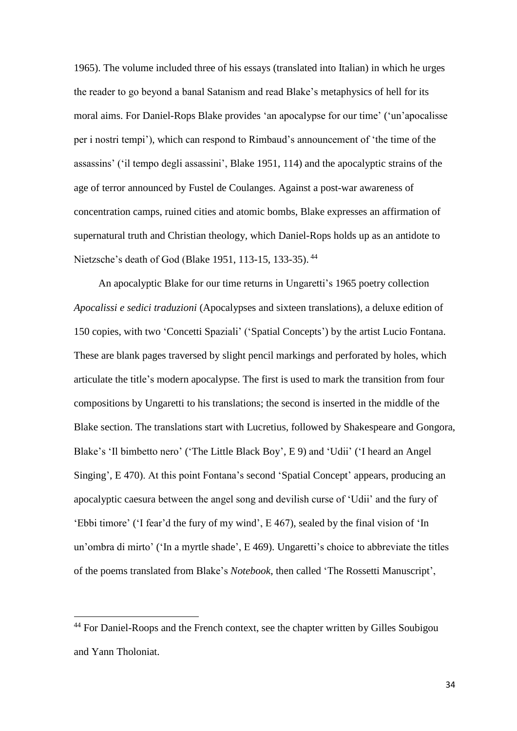1965). The volume included three of his essays (translated into Italian) in which he urges the reader to go beyond a banal Satanism and read Blake's metaphysics of hell for its moral aims. For Daniel-Rops Blake provides 'an apocalypse for our time' ('un'apocalisse per i nostri tempi'), which can respond to Rimbaud's announcement of 'the time of the assassins' ('il tempo degli assassini', Blake 1951, 114) and the apocalyptic strains of the age of terror announced by Fustel de Coulanges. Against a post-war awareness of concentration camps, ruined cities and atomic bombs, Blake expresses an affirmation of supernatural truth and Christian theology, which Daniel-Rops holds up as an antidote to Nietzsche's death of God (Blake 1951, 113-15, 133-35). <sup>44</sup>

An apocalyptic Blake for our time returns in Ungaretti's 1965 poetry collection *Apocalissi e sedici traduzioni* (Apocalypses and sixteen translations), a deluxe edition of 150 copies, with two 'Concetti Spaziali' ('Spatial Concepts') by the artist Lucio Fontana. These are blank pages traversed by slight pencil markings and perforated by holes, which articulate the title's modern apocalypse. The first is used to mark the transition from four compositions by Ungaretti to his translations; the second is inserted in the middle of the Blake section. The translations start with Lucretius, followed by Shakespeare and Gongora, Blake's 'Il bimbetto nero' ('The Little Black Boy', E 9) and 'Udii' ('I heard an Angel Singing', E 470). At this point Fontana's second 'Spatial Concept' appears, producing an apocalyptic caesura between the angel song and devilish curse of 'Udii' and the fury of 'Ebbi timore' ('I fear'd the fury of my wind', E 467), sealed by the final vision of 'In un'ombra di mirto' ('In a myrtle shade', E 469). Ungaretti's choice to abbreviate the titles of the poems translated from Blake's *Notebook*, then called 'The Rossetti Manuscript',

<sup>&</sup>lt;sup>44</sup> For Daniel-Roops and the French context, see the chapter written by Gilles Soubigou and Yann Tholoniat.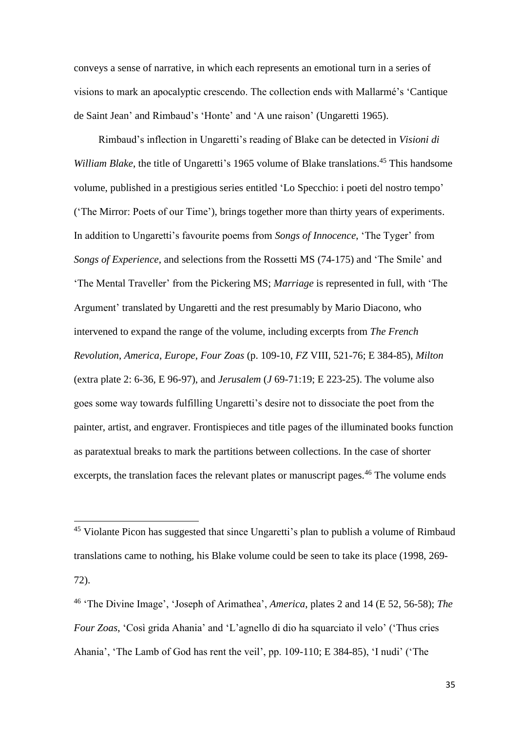conveys a sense of narrative, in which each represents an emotional turn in a series of visions to mark an apocalyptic crescendo. The collection ends with Mallarmé's 'Cantique de Saint Jean' and Rimbaud's 'Honte' and 'A une raison' (Ungaretti 1965).

Rimbaud's inflection in Ungaretti's reading of Blake can be detected in *Visioni di*  William Blake, the title of Ungaretti's 1965 volume of Blake translations.<sup>45</sup> This handsome volume, published in a prestigious series entitled 'Lo Specchio: i poeti del nostro tempo' ('The Mirror: Poets of our Time'), brings together more than thirty years of experiments. In addition to Ungaretti's favourite poems from *Songs of Innocence*, 'The Tyger' from *Songs of Experience*, and selections from the Rossetti MS (74-175) and 'The Smile' and 'The Mental Traveller' from the Pickering MS; *Marriage* is represented in full, with 'The Argument' translated by Ungaretti and the rest presumably by Mario Diacono, who intervened to expand the range of the volume, including excerpts from *The French Revolution*, *America*, *Europe*, *Four Zoas* (p. 109-10, *FZ* VIII, 521-76; E 384-85), *Milton* (extra plate 2: 6-36, E 96-97), and *Jerusalem* (*J* 69-71:19; E 223-25). The volume also goes some way towards fulfilling Ungaretti's desire not to dissociate the poet from the painter, artist, and engraver. Frontispieces and title pages of the illuminated books function as paratextual breaks to mark the partitions between collections. In the case of shorter excerpts, the translation faces the relevant plates or manuscript pages.<sup>46</sup> The volume ends

<sup>&</sup>lt;sup>45</sup> Violante Picon has suggested that since Ungaretti's plan to publish a volume of Rimbaud translations came to nothing, his Blake volume could be seen to take its place (1998, 269- 72).

<sup>46</sup> 'The Divine Image', 'Joseph of Arimathea', *America*, plates 2 and 14 (E 52, 56-58); *The Four Zoas*, 'Così grida Ahania' and 'L'agnello di dio ha squarciato il velo' ('Thus cries Ahania', 'The Lamb of God has rent the veil', pp. 109-110; E 384-85), 'I nudi' ('The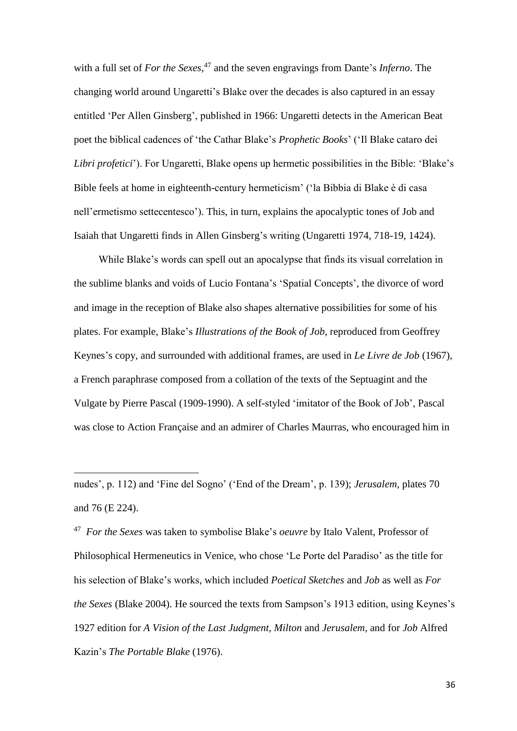with a full set of *For the Sexes*, <sup>47</sup> and the seven engravings from Dante's *Inferno*. The changing world around Ungaretti's Blake over the decades is also captured in an essay entitled 'Per Allen Ginsberg', published in 1966: Ungaretti detects in the American Beat poet the biblical cadences of 'the Cathar Blake's *Prophetic Books*' ('Il Blake cataro dei *Libri profetici*'). For Ungaretti, Blake opens up hermetic possibilities in the Bible: 'Blake's Bible feels at home in eighteenth-century hermeticism' ('la Bibbia di Blake è di casa nell'ermetismo settecentesco'). This, in turn, explains the apocalyptic tones of Job and Isaiah that Ungaretti finds in Allen Ginsberg's writing (Ungaretti 1974, 718-19, 1424).

While Blake's words can spell out an apocalypse that finds its visual correlation in the sublime blanks and voids of Lucio Fontana's 'Spatial Concepts', the divorce of word and image in the reception of Blake also shapes alternative possibilities for some of his plates. For example, Blake's *Illustrations of the Book of Job*, reproduced from Geoffrey Keynes's copy, and surrounded with additional frames, are used in *Le Livre de Job* (1967), a French paraphrase composed from a collation of the texts of the Septuagint and the Vulgate by Pierre Pascal (1909-1990). A self-styled 'imitator of the Book of Job', Pascal was close to Action Française and an admirer of Charles Maurras, who encouraged him in

 $\overline{a}$ 

47 *For the Sexes* was taken to symbolise Blake's *oeuvre* by Italo Valent, Professor of Philosophical Hermeneutics in Venice, who chose 'Le Porte del Paradiso' as the title for his selection of Blake's works, which included *Poetical Sketches* and *Job* as well as *For the Sexes* (Blake 2004). He sourced the texts from Sampson's 1913 edition, using Keynes's 1927 edition for *A Vision of the Last Judgment, Milton* and *Jerusalem,* and for *Job* Alfred Kazin's *The Portable Blake* (1976).

nudes', p. 112) and 'Fine del Sogno' ('End of the Dream', p. 139); *Jerusalem*, plates 70 and 76 (E 224).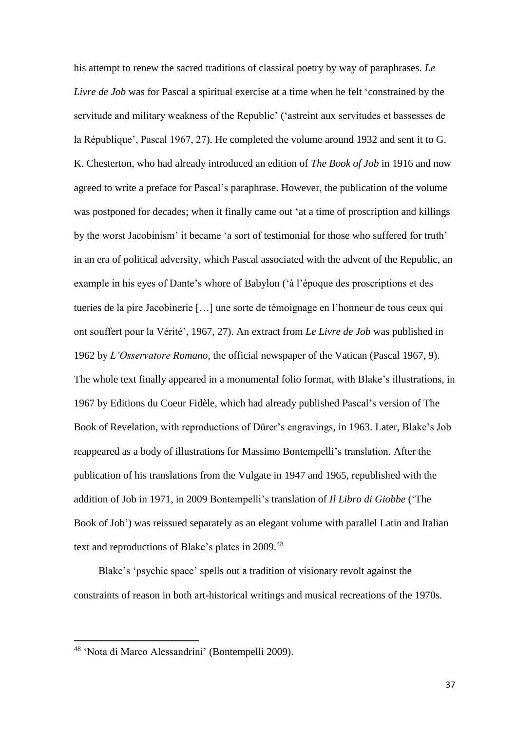his attempt to renew the sacred traditions of classical poetry by way of paraphrases. *Le Livre de Job* was for Pascal a spiritual exercise at a time when he felt 'constrained by the servitude and military weakness of the Republic' ('astreint aux servitudes et bassesses de la République', Pascal 1967, 27). He completed the volume around 1932 and sent it to G. K. Chesterton, who had already introduced an edition of *The Book of Job* in 1916 and now agreed to write a preface for Pascal's paraphrase. However, the publication of the volume was postponed for decades; when it finally came out 'at a time of proscription and killings by the worst Jacobinism' it became 'a sort of testimonial for those who suffered for truth' in an era of political adversity, which Pascal associated with the advent of the Republic, an example in his eyes of Dante's whore of Babylon ('à l'époque des proscriptions et des tueries de la pire Jacobinerie […] une sorte de témoignage en l'honneur de tous ceux qui ont souffert pour la Vérité', 1967, 27). An extract from *Le Livre de Job* was published in 1962 by *L'Osservatore Romano*, the official newspaper of the Vatican (Pascal 1967, 9). The whole text finally appeared in a monumental folio format, with Blake's illustrations, in 1967 by Editions du Coeur Fidèle, which had already published Pascal's version of The Book of Revelation, with reproductions of Dürer's engravings, in 1963. Later, Blake's Job reappeared as a body of illustrations for Massimo Bontempelli's translation. After the publication of his translations from the Vulgate in 1947 and 1965, republished with the addition of Job in 1971, in 2009 Bontempelli's translation of *Il Libro di Giobbe* ('The Book of Job') was reissued separately as an elegant volume with parallel Latin and Italian text and reproductions of Blake's plates in 2009.<sup>48</sup>

Blake's 'psychic space' spells out a tradition of visionary revolt against the constraints of reason in both art-historical writings and musical recreations of the 1970s.

<sup>48</sup> 'Nota di Marco Alessandrini' (Bontempelli 2009).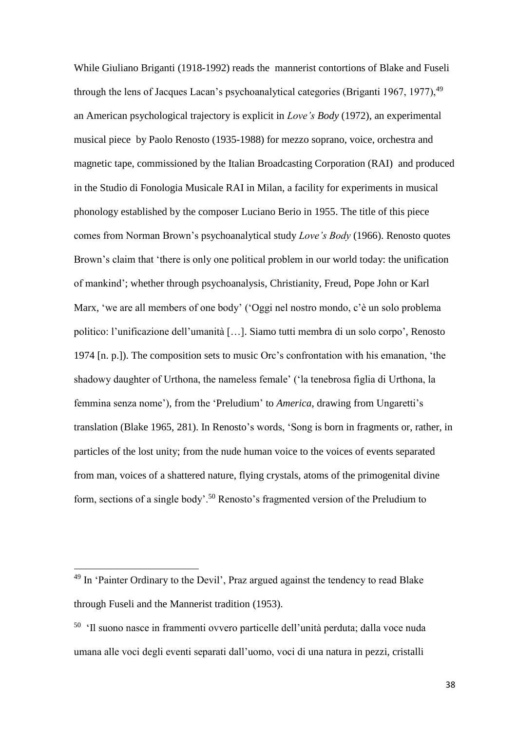While Giuliano Briganti (1918-1992) reads the mannerist contortions of Blake and Fuseli through the lens of Jacques Lacan's psychoanalytical categories (Briganti 1967, 1977),  $49$ an American psychological trajectory is explicit in *Love's Body* (1972), an experimental musical piece by Paolo Renosto (1935-1988) for mezzo soprano, voice, orchestra and magnetic tape, commissioned by the Italian Broadcasting Corporation (RAI) and produced in the Studio di Fonologia Musicale RAI in Milan, a facility for experiments in musical phonology established by the composer Luciano Berio in 1955. The title of this piece comes from Norman Brown's psychoanalytical study *Love's Body* (1966). Renosto quotes Brown's claim that 'there is only one political problem in our world today: the unification of mankind'; whether through psychoanalysis, Christianity, Freud, Pope John or Karl Marx, 'we are all members of one body' ('Oggi nel nostro mondo, c'è un solo problema politico: l'unificazione dell'umanità […]. Siamo tutti membra di un solo corpo', Renosto 1974 [n. p.]). The composition sets to music Orc's confrontation with his emanation, 'the shadowy daughter of Urthona, the nameless female' ('la tenebrosa figlia di Urthona, la femmina senza nome'), from the 'Preludium' to *America*, drawing from Ungaretti's translation (Blake 1965, 281). In Renosto's words, 'Song is born in fragments or, rather, in particles of the lost unity; from the nude human voice to the voices of events separated from man, voices of a shattered nature, flying crystals, atoms of the primogenital divine form, sections of a single body'.<sup>50</sup> Renosto's fragmented version of the Preludium to

<sup>&</sup>lt;sup>49</sup> In 'Painter Ordinary to the Devil', Praz argued against the tendency to read Blake through Fuseli and the Mannerist tradition (1953).

<sup>50</sup> 'Il suono nasce in frammenti ovvero particelle dell'unità perduta; dalla voce nuda umana alle voci degli eventi separati dall'uomo, voci di una natura in pezzi, cristalli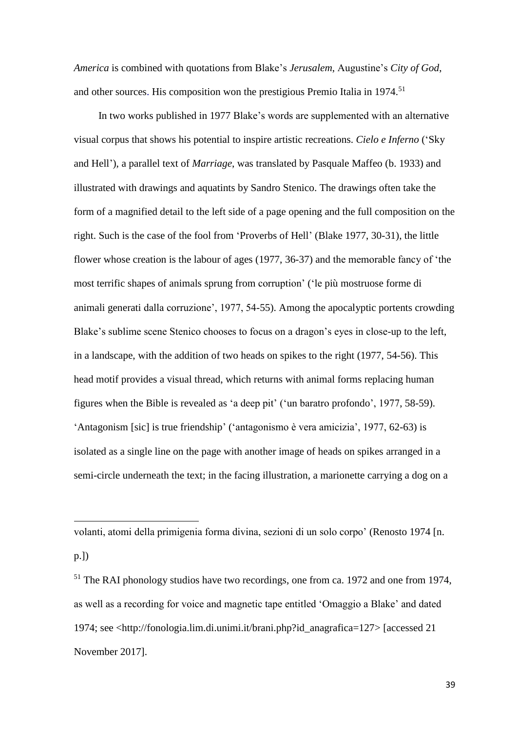*America* is combined with quotations from Blake's *Jerusalem*, Augustine's *City of God*, and other sources. His composition won the prestigious Premio Italia in 1974.<sup>51</sup>

In two works published in 1977 Blake's words are supplemented with an alternative visual corpus that shows his potential to inspire artistic recreations. *Cielo e Inferno* ('Sky and Hell'), a parallel text of *Marriage*, was translated by Pasquale Maffeo (b. 1933) and illustrated with drawings and aquatints by Sandro Stenico. The drawings often take the form of a magnified detail to the left side of a page opening and the full composition on the right. Such is the case of the fool from 'Proverbs of Hell' (Blake 1977, 30-31), the little flower whose creation is the labour of ages (1977, 36-37) and the memorable fancy of 'the most terrific shapes of animals sprung from corruption' ('le più mostruose forme di animali generati dalla corruzione', 1977, 54-55). Among the apocalyptic portents crowding Blake's sublime scene Stenico chooses to focus on a dragon's eyes in close-up to the left, in a landscape, with the addition of two heads on spikes to the right (1977, 54-56). This head motif provides a visual thread, which returns with animal forms replacing human figures when the Bible is revealed as 'a deep pit' ('un baratro profondo', 1977, 58-59). 'Antagonism [sic] is true friendship' ('antagonismo è vera amicizia', 1977, 62-63) is isolated as a single line on the page with another image of heads on spikes arranged in a semi-circle underneath the text; in the facing illustration, a marionette carrying a dog on a

volanti, atomi della primigenia forma divina, sezioni di un solo corpo' (Renosto 1974 [n.

p.])

**.** 

<sup>51</sup> The RAI phonology studios have two recordings, one from ca. 1972 and one from 1974, as well as a recording for voice and magnetic tape entitled 'Omaggio a Blake' and dated 1974; see <http://fonologia.lim.di.unimi.it/brani.php?id\_anagrafica=127> [accessed 21 November 2017].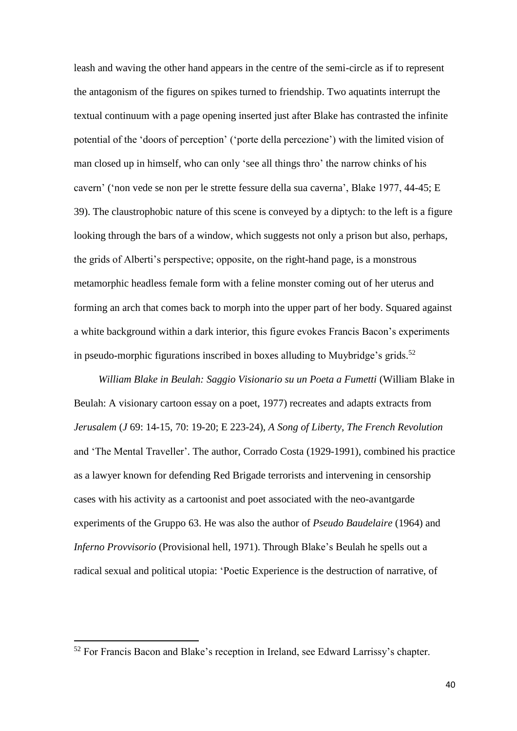leash and waving the other hand appears in the centre of the semi-circle as if to represent the antagonism of the figures on spikes turned to friendship. Two aquatints interrupt the textual continuum with a page opening inserted just after Blake has contrasted the infinite potential of the 'doors of perception' ('porte della percezione') with the limited vision of man closed up in himself, who can only 'see all things thro' the narrow chinks of his cavern' ('non vede se non per le strette fessure della sua caverna', Blake 1977, 44-45; E 39). The claustrophobic nature of this scene is conveyed by a diptych: to the left is a figure looking through the bars of a window, which suggests not only a prison but also, perhaps, the grids of Alberti's perspective; opposite, on the right-hand page, is a monstrous metamorphic headless female form with a feline monster coming out of her uterus and forming an arch that comes back to morph into the upper part of her body. Squared against a white background within a dark interior, this figure evokes Francis Bacon's experiments in pseudo-morphic figurations inscribed in boxes alluding to Muybridge's grids. 52

*William Blake in Beulah: Saggio Visionario su un Poeta a Fumetti* (William Blake in Beulah: A visionary cartoon essay on a poet, 1977) recreates and adapts extracts from *Jerusalem* (*J* 69: 14-15, 70: 19-20; E 223-24), *A Song of Liberty*, *The French Revolution* and 'The Mental Traveller'. The author, Corrado Costa (1929-1991), combined his practice as a lawyer known for defending Red Brigade terrorists and intervening in censorship cases with his activity as a cartoonist and poet associated with the neo-avantgarde experiments of the Gruppo 63. He was also the author of *Pseudo Baudelaire* (1964) and *Inferno Provvisorio* (Provisional hell, 1971). Through Blake's Beulah he spells out a radical sexual and political utopia: 'Poetic Experience is the destruction of narrative, of

<sup>52</sup> For Francis Bacon and Blake's reception in Ireland, see Edward Larrissy's chapter.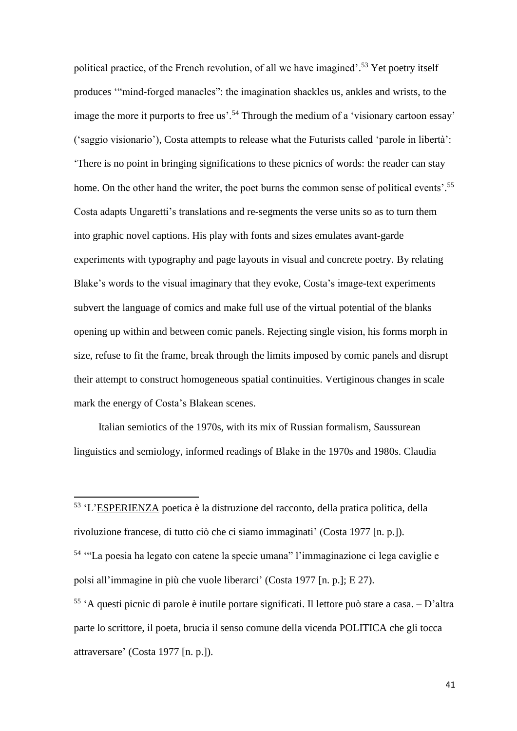political practice, of the French revolution, of all we have imagined'. <sup>53</sup> Yet poetry itself produces '"mind-forged manacles": the imagination shackles us, ankles and wrists, to the image the more it purports to free us'.<sup>54</sup> Through the medium of a 'visionary cartoon essay' ('saggio visionario'), Costa attempts to release what the Futurists called 'parole in libertà': 'There is no point in bringing significations to these picnics of words: the reader can stay home. On the other hand the writer, the poet burns the common sense of political events'.<sup>55</sup> Costa adapts Ungaretti's translations and re-segments the verse units so as to turn them into graphic novel captions. His play with fonts and sizes emulates avant-garde experiments with typography and page layouts in visual and concrete poetry. By relating Blake's words to the visual imaginary that they evoke, Costa's image-text experiments subvert the language of comics and make full use of the virtual potential of the blanks opening up within and between comic panels. Rejecting single vision, his forms morph in size, refuse to fit the frame, break through the limits imposed by comic panels and disrupt their attempt to construct homogeneous spatial continuities. Vertiginous changes in scale mark the energy of Costa's Blakean scenes.

Italian semiotics of the 1970s, with its mix of Russian formalism, Saussurean linguistics and semiology, informed readings of Blake in the 1970s and 1980s. Claudia

<sup>&</sup>lt;sup>53</sup> 'L'ESPERIENZA poetica è la distruzione del racconto, della pratica politica, della rivoluzione francese, di tutto ciò che ci siamo immaginati' (Costa 1977 [n. p.]).

<sup>54</sup> '"La poesia ha legato con catene la specie umana" l'immaginazione ci lega caviglie e polsi all'immagine in più che vuole liberarci' (Costa 1977 [n. p.]; E 27).

<sup>55</sup> 'A questi picnic di parole è inutile portare significati. Il lettore può stare a casa. – D'altra parte lo scrittore, il poeta, brucia il senso comune della vicenda POLITICA che gli tocca attraversare' (Costa 1977 [n. p.]).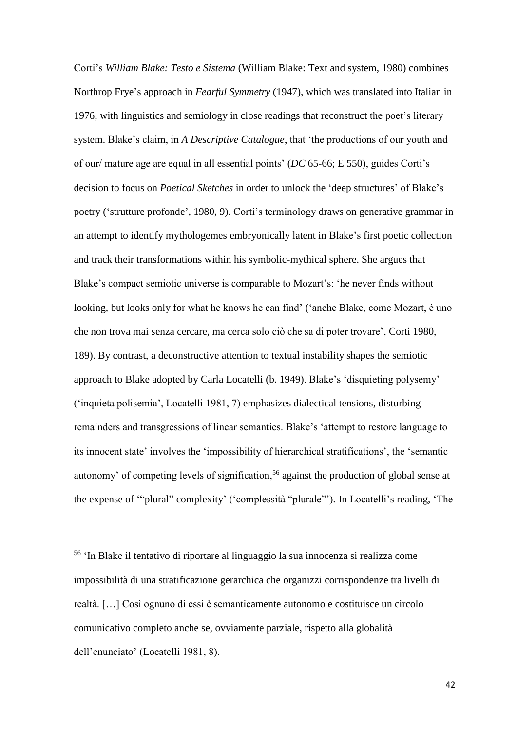Corti's *William Blake: Testo e Sistema* (William Blake: Text and system, 1980) combines Northrop Frye's approach in *Fearful Symmetry* (1947), which was translated into Italian in 1976, with linguistics and semiology in close readings that reconstruct the poet's literary system. Blake's claim, in *A Descriptive Catalogue*, that 'the productions of our youth and of our/ mature age are equal in all essential points' (*DC* 65-66; E 550), guides Corti's decision to focus on *Poetical Sketches* in order to unlock the 'deep structures' of Blake's poetry ('strutture profonde', 1980, 9). Corti's terminology draws on generative grammar in an attempt to identify mythologemes embryonically latent in Blake's first poetic collection and track their transformations within his symbolic-mythical sphere. She argues that Blake's compact semiotic universe is comparable to Mozart's: 'he never finds without looking, but looks only for what he knows he can find' ('anche Blake, come Mozart, è uno che non trova mai senza cercare, ma cerca solo ciò che sa di poter trovare', Corti 1980, 189). By contrast, a deconstructive attention to textual instability shapes the semiotic approach to Blake adopted by Carla Locatelli (b. 1949). Blake's 'disquieting polysemy' ('inquieta polisemia', Locatelli 1981, 7) emphasizes dialectical tensions, disturbing remainders and transgressions of linear semantics. Blake's 'attempt to restore language to its innocent state' involves the 'impossibility of hierarchical stratifications', the 'semantic autonomy' of competing levels of signification,<sup>56</sup> against the production of global sense at the expense of '"plural" complexity' ('complessità "plurale"'). In Locatelli's reading, 'The

 $\overline{a}$ 

<sup>56</sup> 'In Blake il tentativo di riportare al linguaggio la sua innocenza si realizza come impossibilità di una stratificazione gerarchica che organizzi corrispondenze tra livelli di realtà. […] Così ognuno di essi è semanticamente autonomo e costituisce un circolo comunicativo completo anche se, ovviamente parziale, rispetto alla globalità dell'enunciato' (Locatelli 1981, 8).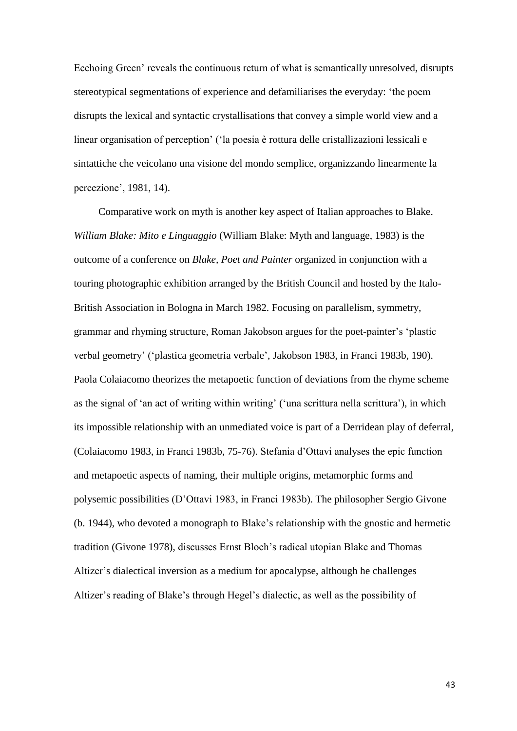Ecchoing Green' reveals the continuous return of what is semantically unresolved, disrupts stereotypical segmentations of experience and defamiliarises the everyday: 'the poem disrupts the lexical and syntactic crystallisations that convey a simple world view and a linear organisation of perception' ('la poesia è rottura delle cristallizazioni lessicali e sintattiche che veicolano una visione del mondo semplice, organizzando linearmente la percezione', 1981, 14).

Comparative work on myth is another key aspect of Italian approaches to Blake. *William Blake: Mito e Linguaggio* (William Blake: Myth and language, 1983) is the outcome of a conference on *Blake, Poet and Painter* organized in conjunction with a touring photographic exhibition arranged by the British Council and hosted by the Italo-British Association in Bologna in March 1982. Focusing on parallelism, symmetry, grammar and rhyming structure, Roman Jakobson argues for the poet-painter's 'plastic verbal geometry' ('plastica geometria verbale', Jakobson 1983, in Franci 1983b, 190). Paola Colaiacomo theorizes the metapoetic function of deviations from the rhyme scheme as the signal of 'an act of writing within writing' ('una scrittura nella scrittura'), in which its impossible relationship with an unmediated voice is part of a Derridean play of deferral, (Colaiacomo 1983, in Franci 1983b, 75-76). Stefania d'Ottavi analyses the epic function and metapoetic aspects of naming, their multiple origins, metamorphic forms and polysemic possibilities (D'Ottavi 1983, in Franci 1983b). The philosopher Sergio Givone (b. 1944), who devoted a monograph to Blake's relationship with the gnostic and hermetic tradition (Givone 1978), discusses Ernst Bloch's radical utopian Blake and Thomas Altizer's dialectical inversion as a medium for apocalypse, although he challenges Altizer's reading of Blake's through Hegel's dialectic, as well as the possibility of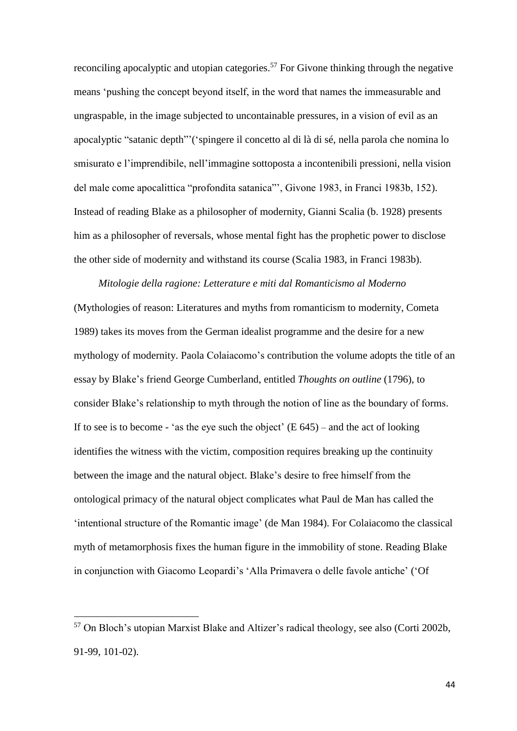reconciling apocalyptic and utopian categories.<sup>57</sup> For Givone thinking through the negative means 'pushing the concept beyond itself, in the word that names the immeasurable and ungraspable, in the image subjected to uncontainable pressures, in a vision of evil as an apocalyptic "satanic depth"'('spingere il concetto al di là di sé, nella parola che nomina lo smisurato e l'imprendibile, nell'immagine sottoposta a incontenibili pressioni, nella vision del male come apocalittica "profondita satanica"', Givone 1983, in Franci 1983b, 152). Instead of reading Blake as a philosopher of modernity, Gianni Scalia (b. 1928) presents him as a philosopher of reversals, whose mental fight has the prophetic power to disclose the other side of modernity and withstand its course (Scalia 1983, in Franci 1983b).

*Mitologie della ragione: Letterature e miti dal Romanticismo al Moderno* (Mythologies of reason: Literatures and myths from romanticism to modernity, Cometa 1989) takes its moves from the German idealist programme and the desire for a new mythology of modernity. Paola Colaiacomo's contribution the volume adopts the title of an essay by Blake's friend George Cumberland, entitled *Thoughts on outline* (1796), to consider Blake's relationship to myth through the notion of line as the boundary of forms. If to see is to become - 'as the eye such the object'  $(E 645)$  – and the act of looking identifies the witness with the victim, composition requires breaking up the continuity between the image and the natural object. Blake's desire to free himself from the ontological primacy of the natural object complicates what Paul de Man has called the 'intentional structure of the Romantic image' (de Man 1984). For Colaiacomo the classical myth of metamorphosis fixes the human figure in the immobility of stone. Reading Blake in conjunction with Giacomo Leopardi's 'Alla Primavera o delle favole antiche' ('Of

<sup>57</sup> On Bloch's utopian Marxist Blake and Altizer's radical theology, see also (Corti 2002b, 91-99, 101-02).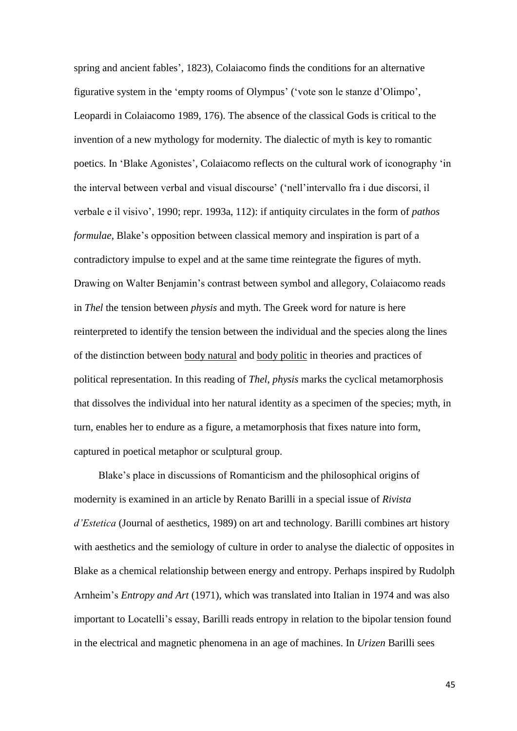spring and ancient fables', 1823), Colaiacomo finds the conditions for an alternative figurative system in the 'empty rooms of Olympus' ('vote son le stanze d'Olimpo', Leopardi in Colaiacomo 1989, 176). The absence of the classical Gods is critical to the invention of a new mythology for modernity. The dialectic of myth is key to romantic poetics. In 'Blake Agonistes', Colaiacomo reflects on the cultural work of iconography 'in the interval between verbal and visual discourse' ('nell'intervallo fra i due discorsi, il verbale e il visivo', 1990; repr. 1993a, 112): if antiquity circulates in the form of *pathos formulae*, Blake's opposition between classical memory and inspiration is part of a contradictory impulse to expel and at the same time reintegrate the figures of myth. Drawing on Walter Benjamin's contrast between symbol and allegory, Colaiacomo reads in *Thel* the tension between *physis* and myth. The Greek word for nature is here reinterpreted to identify the tension between the individual and the species along the lines of the distinction between body natural and body politic in theories and practices of political representation. In this reading of *Thel*, *physis* marks the cyclical metamorphosis that dissolves the individual into her natural identity as a specimen of the species; myth, in turn, enables her to endure as a figure, a metamorphosis that fixes nature into form, captured in poetical metaphor or sculptural group.

Blake's place in discussions of Romanticism and the philosophical origins of modernity is examined in an article by Renato Barilli in a special issue of *Rivista d'Estetica* (Journal of aesthetics, 1989) on art and technology. Barilli combines art history with aesthetics and the semiology of culture in order to analyse the dialectic of opposites in Blake as a chemical relationship between energy and entropy. Perhaps inspired by Rudolph Arnheim's *Entropy and Art* (1971), which was translated into Italian in 1974 and was also important to Locatelli's essay, Barilli reads entropy in relation to the bipolar tension found in the electrical and magnetic phenomena in an age of machines. In *Urizen* Barilli sees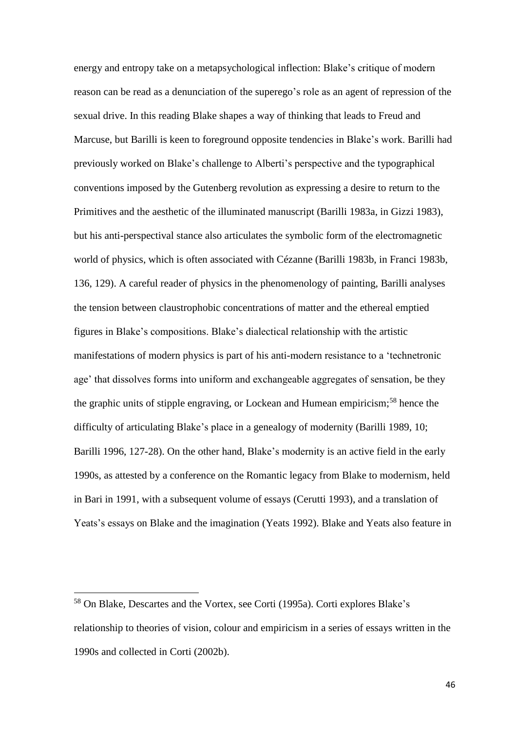energy and entropy take on a metapsychological inflection: Blake's critique of modern reason can be read as a denunciation of the superego's role as an agent of repression of the sexual drive. In this reading Blake shapes a way of thinking that leads to Freud and Marcuse, but Barilli is keen to foreground opposite tendencies in Blake's work. Barilli had previously worked on Blake's challenge to Alberti's perspective and the typographical conventions imposed by the Gutenberg revolution as expressing a desire to return to the Primitives and the aesthetic of the illuminated manuscript (Barilli 1983a, in Gizzi 1983), but his anti-perspectival stance also articulates the symbolic form of the electromagnetic world of physics, which is often associated with Cézanne (Barilli 1983b, in Franci 1983b, 136, 129). A careful reader of physics in the phenomenology of painting, Barilli analyses the tension between claustrophobic concentrations of matter and the ethereal emptied figures in Blake's compositions. Blake's dialectical relationship with the artistic manifestations of modern physics is part of his anti-modern resistance to a 'technetronic age' that dissolves forms into uniform and exchangeable aggregates of sensation, be they the graphic units of stipple engraving, or Lockean and Humean empiricism;<sup>58</sup> hence the difficulty of articulating Blake's place in a genealogy of modernity (Barilli 1989, 10; Barilli 1996, 127-28). On the other hand, Blake's modernity is an active field in the early 1990s, as attested by a conference on the Romantic legacy from Blake to modernism, held in Bari in 1991, with a subsequent volume of essays (Cerutti 1993), and a translation of Yeats's essays on Blake and the imagination (Yeats 1992). Blake and Yeats also feature in

<sup>58</sup> On Blake, Descartes and the Vortex, see Corti (1995a). Corti explores Blake's relationship to theories of vision, colour and empiricism in a series of essays written in the 1990s and collected in Corti (2002b).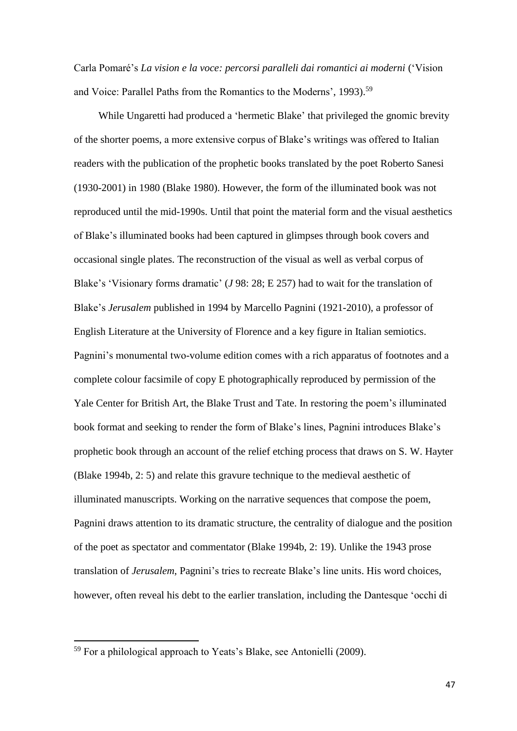Carla Pomaré's *La vision e la voce: percorsi paralleli dai romantici ai moderni* ('Vision and Voice: Parallel Paths from the Romantics to the Moderns', 1993).<sup>59</sup>

While Ungaretti had produced a 'hermetic Blake' that privileged the gnomic brevity of the shorter poems, a more extensive corpus of Blake's writings was offered to Italian readers with the publication of the prophetic books translated by the poet Roberto Sanesi (1930-2001) in 1980 (Blake 1980). However, the form of the illuminated book was not reproduced until the mid-1990s. Until that point the material form and the visual aesthetics of Blake's illuminated books had been captured in glimpses through book covers and occasional single plates. The reconstruction of the visual as well as verbal corpus of Blake's 'Visionary forms dramatic' (*J* 98: 28; E 257) had to wait for the translation of Blake's *Jerusalem* published in 1994 by Marcello Pagnini (1921-2010), a professor of English Literature at the University of Florence and a key figure in Italian semiotics. Pagnini's monumental two-volume edition comes with a rich apparatus of footnotes and a complete colour facsimile of copy E photographically reproduced by permission of the Yale Center for British Art, the Blake Trust and Tate. In restoring the poem's illuminated book format and seeking to render the form of Blake's lines, Pagnini introduces Blake's prophetic book through an account of the relief etching process that draws on S. W. Hayter (Blake 1994b, 2: 5) and relate this gravure technique to the medieval aesthetic of illuminated manuscripts. Working on the narrative sequences that compose the poem, Pagnini draws attention to its dramatic structure, the centrality of dialogue and the position of the poet as spectator and commentator (Blake 1994b, 2: 19). Unlike the 1943 prose translation of *Jerusalem*, Pagnini's tries to recreate Blake's line units. His word choices, however, often reveal his debt to the earlier translation, including the Dantesque 'occhi di

<sup>59</sup> For a philological approach to Yeats's Blake, see Antonielli (2009).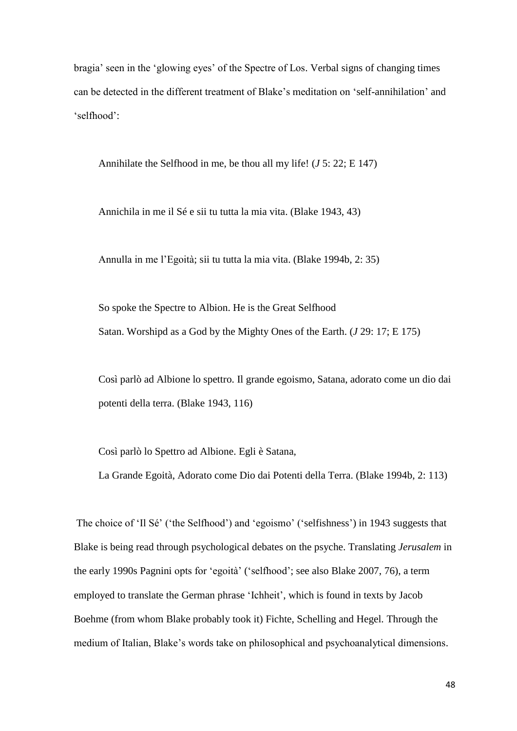bragia' seen in the 'glowing eyes' of the Spectre of Los. Verbal signs of changing times can be detected in the different treatment of Blake's meditation on 'self-annihilation' and 'selfhood':

Annihilate the Selfhood in me, be thou all my life! (*J* 5: 22; E 147)

Annichila in me il Sé e sii tu tutta la mia vita. (Blake 1943, 43)

Annulla in me l'Egoità; sii tu tutta la mia vita. (Blake 1994b, 2: 35)

So spoke the Spectre to Albion. He is the Great Selfhood Satan. Worshipd as a God by the Mighty Ones of the Earth. (*J* 29: 17; E 175)

Così parlò ad Albione lo spettro. Il grande egoismo, Satana, adorato come un dio dai potenti della terra. (Blake 1943, 116)

Così parlò lo Spettro ad Albione. Egli è Satana,

La Grande Egoità, Adorato come Dio dai Potenti della Terra. (Blake 1994b, 2: 113)

The choice of 'Il Sé' ('the Selfhood') and 'egoismo' ('selfishness') in 1943 suggests that Blake is being read through psychological debates on the psyche. Translating *Jerusalem* in the early 1990s Pagnini opts for 'egoità' ('selfhood'; see also Blake 2007, 76), a term employed to translate the German phrase 'Ichheit', which is found in texts by Jacob Boehme (from whom Blake probably took it) Fichte, Schelling and Hegel. Through the medium of Italian, Blake's words take on philosophical and psychoanalytical dimensions.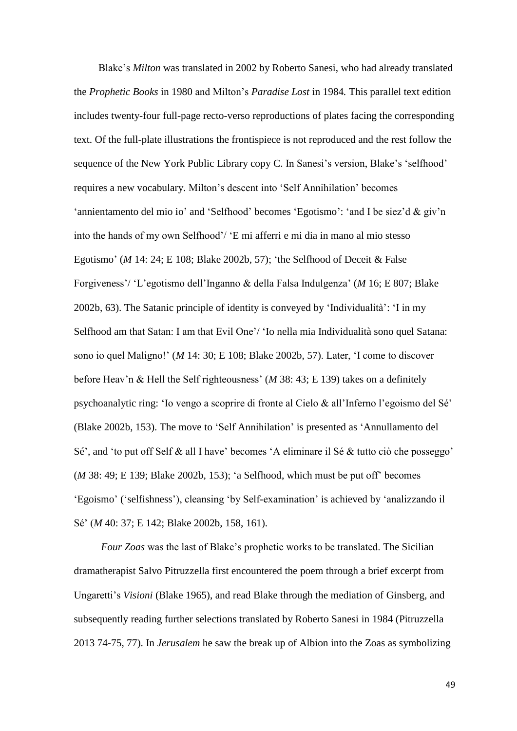Blake's *Milton* was translated in 2002 by Roberto Sanesi, who had already translated the *Prophetic Books* in 1980 and Milton's *Paradise Lost* in 1984*.* This parallel text edition includes twenty-four full-page recto-verso reproductions of plates facing the corresponding text. Of the full-plate illustrations the frontispiece is not reproduced and the rest follow the sequence of the New York Public Library copy C. In Sanesi's version, Blake's 'selfhood' requires a new vocabulary. Milton's descent into 'Self Annihilation' becomes 'annientamento del mio io' and 'Selfhood' becomes 'Egotismo': 'and I be siez'd & giv'n into the hands of my own Selfhood'/ 'E mi afferri e mi dia in mano al mio stesso Egotismo' (*M* 14: 24; E 108; Blake 2002b, 57); 'the Selfhood of Deceit & False Forgiveness'/ 'L'egotismo dell'Inganno & della Falsa Indulgenza' (*M* 16; E 807; Blake 2002b, 63). The Satanic principle of identity is conveyed by 'Individualità': 'I in my Selfhood am that Satan: I am that Evil One'/ 'Io nella mia Individualità sono quel Satana: sono io quel Maligno!' (*M* 14: 30; E 108; Blake 2002b, 57). Later, 'I come to discover before Heav'n & Hell the Self righteousness' (*M* 38: 43; E 139) takes on a definitely psychoanalytic ring: 'Io vengo a scoprire di fronte al Cielo & all'Inferno l'egoismo del Sé' (Blake 2002b, 153). The move to 'Self Annihilation' is presented as 'Annullamento del Sé', and 'to put off Self & all I have' becomes 'A eliminare il Sé & tutto ciò che posseggo' (*M* 38: 49; E 139; Blake 2002b, 153); 'a Selfhood, which must be put off' becomes 'Egoismo' ('selfishness'), cleansing 'by Self-examination' is achieved by 'analizzando il Sé' (*M* 40: 37; E 142; Blake 2002b, 158, 161).

*Four Zoas* was the last of Blake's prophetic works to be translated. The Sicilian dramatherapist Salvo Pitruzzella first encountered the poem through a brief excerpt from Ungaretti's *Visioni* (Blake 1965), and read Blake through the mediation of Ginsberg, and subsequently reading further selections translated by Roberto Sanesi in 1984 (Pitruzzella 2013 74-75, 77). In *Jerusalem* he saw the break up of Albion into the Zoas as symbolizing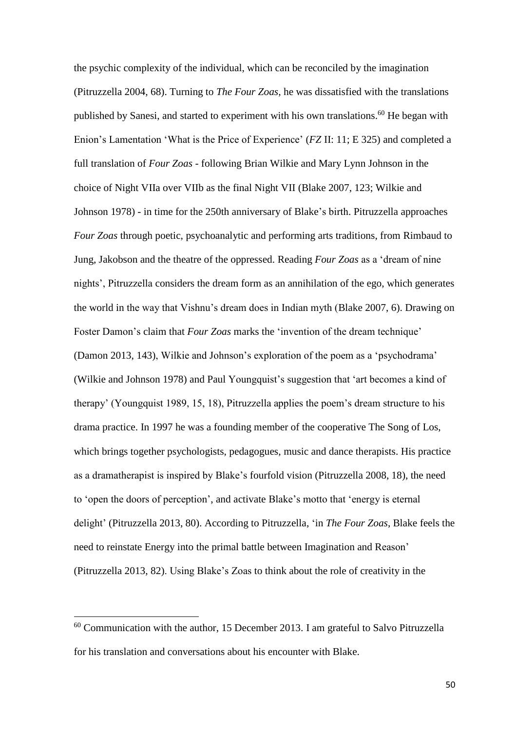the psychic complexity of the individual, which can be reconciled by the imagination (Pitruzzella 2004, 68). Turning to *The Four Zoas*, he was dissatisfied with the translations published by Sanesi, and started to experiment with his own translations.<sup>60</sup> He began with Enion's Lamentation 'What is the Price of Experience' (*FZ* II: 11; E 325) and completed a full translation of *Four Zoas* - following Brian Wilkie and Mary Lynn Johnson in the choice of Night VIIa over VIIb as the final Night VII (Blake 2007, 123; Wilkie and Johnson 1978) - in time for the 250th anniversary of Blake's birth. Pitruzzella approaches *Four Zoas* through poetic, psychoanalytic and performing arts traditions, from Rimbaud to Jung, Jakobson and the theatre of the oppressed. Reading *Four Zoas* as a 'dream of nine nights', Pitruzzella considers the dream form as an annihilation of the ego, which generates the world in the way that Vishnu's dream does in Indian myth (Blake 2007, 6). Drawing on Foster Damon's claim that *Four Zoas* marks the 'invention of the dream technique' (Damon 2013, 143), Wilkie and Johnson's exploration of the poem as a 'psychodrama' (Wilkie and Johnson 1978) and Paul Youngquist's suggestion that 'art becomes a kind of therapy' (Youngquist 1989, 15, 18), Pitruzzella applies the poem's dream structure to his drama practice. In 1997 he was a founding member of the cooperative The Song of Los, which brings together psychologists, pedagogues, music and dance therapists. His practice as a dramatherapist is inspired by Blake's fourfold vision (Pitruzzella 2008, 18), the need to 'open the doors of perception', and activate Blake's motto that 'energy is eternal delight' (Pitruzzella 2013, 80). According to Pitruzzella, 'in *The Four Zoas*, Blake feels the need to reinstate Energy into the primal battle between Imagination and Reason' (Pitruzzella 2013, 82). Using Blake's Zoas to think about the role of creativity in the

 $60$  Communication with the author, 15 December 2013. I am grateful to Salvo Pitruzzella for his translation and conversations about his encounter with Blake.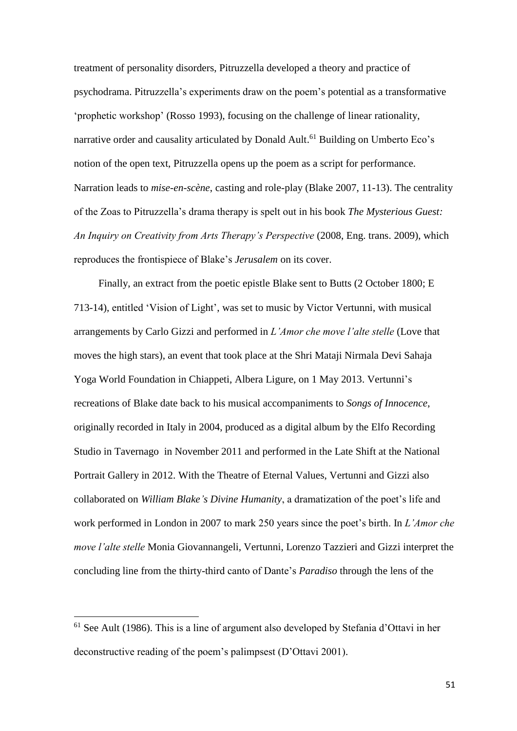treatment of personality disorders, Pitruzzella developed a theory and practice of psychodrama. Pitruzzella's experiments draw on the poem's potential as a transformative 'prophetic workshop' (Rosso 1993), focusing on the challenge of linear rationality, narrative order and causality articulated by Donald Ault.<sup>61</sup> Building on Umberto Eco's notion of the open text, Pitruzzella opens up the poem as a script for performance. Narration leads to *mise-en-scène*, casting and role-play (Blake 2007, 11-13). The centrality of the Zoas to Pitruzzella's drama therapy is spelt out in his book *The Mysterious Guest: An Inquiry on Creativity from Arts Therapy's Perspective* (2008, Eng. trans. 2009), which reproduces the frontispiece of Blake's *Jerusalem* on its cover.

Finally, an extract from the poetic epistle Blake sent to Butts (2 October 1800; E 713-14), entitled 'Vision of Light', was set to music by Victor Vertunni, with musical arrangements by Carlo Gizzi and performed in *L'Amor che move l'alte stelle* (Love that moves the high stars), an event that took place at the Shri Mataji Nirmala Devi Sahaja Yoga World Foundation in Chiappeti, Albera Ligure, on 1 May 2013. Vertunni's recreations of Blake date back to his musical accompaniments to *Songs of Innocence*, originally recorded in Italy in 2004, produced as a digital album by the Elfo Recording Studio in Tavernago in November 2011 and performed in the Late Shift at the National Portrait Gallery in 2012. With the Theatre of Eternal Values, Vertunni and Gizzi also collaborated on *William Blake's Divine Humanity*, a dramatization of the poet's life and work performed in London in 2007 to mark 250 years since the poet's birth. In *L'Amor che move l'alte stelle* Monia Giovannangeli, Vertunni, Lorenzo Tazzieri and Gizzi interpret the concluding line from the thirty-third canto of Dante's *Paradiso* through the lens of the

<sup>61</sup> See Ault (1986). This is a line of argument also developed by Stefania d'Ottavi in her deconstructive reading of the poem's palimpsest (D'Ottavi 2001).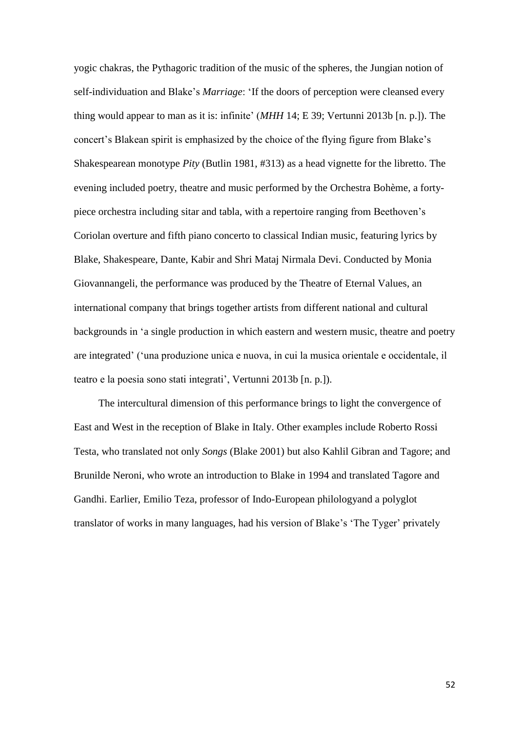yogic chakras, the Pythagoric tradition of the music of the spheres, the Jungian notion of self-individuation and Blake's *Marriage*: 'If the doors of perception were cleansed every thing would appear to man as it is: infinite' (*MHH* 14; E 39; Vertunni 2013b [n. p.]). The concert's Blakean spirit is emphasized by the choice of the flying figure from Blake's Shakespearean monotype *Pity* (Butlin 1981, #313) as a head vignette for the libretto. The evening included poetry, theatre and music performed by the Orchestra Bohème, a fortypiece orchestra including sitar and tabla, with a repertoire ranging from Beethoven's Coriolan overture and fifth piano concerto to classical Indian music, featuring lyrics by Blake, Shakespeare, Dante, Kabir and Shri Mataj Nirmala Devi. Conducted by Monia Giovannangeli, the performance was produced by the Theatre of Eternal Values, an international company that brings together artists from different national and cultural backgrounds in 'a single production in which eastern and western music, theatre and poetry are integrated' ('una produzione unica e nuova, in cui la musica orientale e occidentale, il teatro e la poesia sono stati integrati', Vertunni 2013b [n. p.]).

The intercultural dimension of this performance brings to light the convergence of East and West in the reception of Blake in Italy. Other examples include Roberto Rossi Testa, who translated not only *Songs* (Blake 2001) but also Kahlil Gibran and Tagore; and Brunilde Neroni, who wrote an introduction to Blake in 1994 and translated Tagore and Gandhi. Earlier, Emilio Teza, professor of Indo-European philologyand a polyglot translator of works in many languages, had his version of Blake's 'The Tyger' privately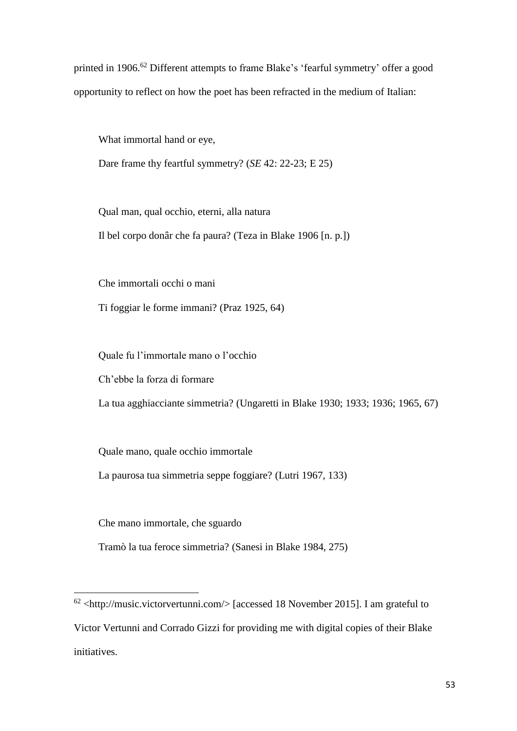printed in 1906.<sup>62</sup> Different attempts to frame Blake's 'fearful symmetry' offer a good opportunity to reflect on how the poet has been refracted in the medium of Italian:

What immortal hand or eye,

Dare frame thy feartful symmetry? (*SE* 42: 22-23; E 25)

Qual man, qual occhio, eterni, alla natura Il bel corpo donâr che fa paura? (Teza in Blake 1906 [n. p.])

Che immortali occhi o mani

Ti foggiar le forme immani? (Praz 1925, 64)

Quale fu l'immortale mano o l'occhio

Ch'ebbe la forza di formare

La tua agghiacciante simmetria? (Ungaretti in Blake 1930; 1933; 1936; 1965, 67)

Quale mano, quale occhio immortale

La paurosa tua simmetria seppe foggiare? (Lutri 1967, 133)

Che mano immortale, che sguardo

**.** 

Tramò la tua feroce simmetria? (Sanesi in Blake 1984, 275)

 $62$  <http://music.victorvertunni.com/> [accessed 18 November 2015]. I am grateful to Victor Vertunni and Corrado Gizzi for providing me with digital copies of their Blake initiatives.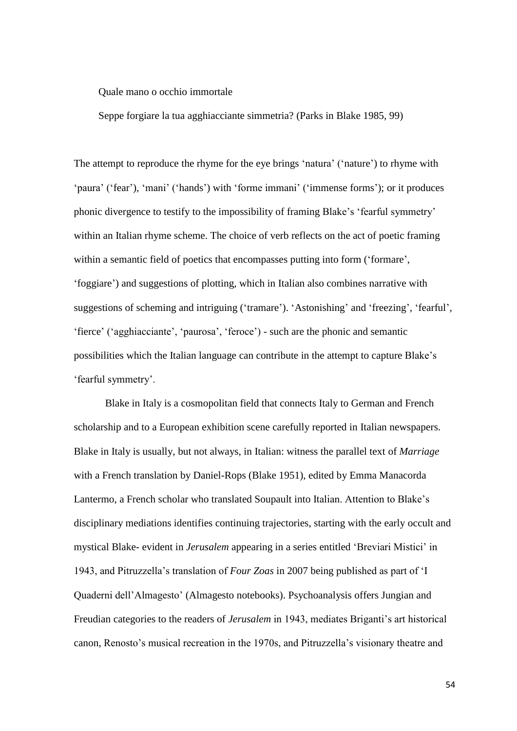Quale mano o occhio immortale

Seppe forgiare la tua agghiacciante simmetria? (Parks in Blake 1985, 99)

The attempt to reproduce the rhyme for the eye brings 'natura' ('nature') to rhyme with 'paura' ('fear'), 'mani' ('hands') with 'forme immani' ('immense forms'); or it produces phonic divergence to testify to the impossibility of framing Blake's 'fearful symmetry' within an Italian rhyme scheme. The choice of verb reflects on the act of poetic framing within a semantic field of poetics that encompasses putting into form ('formare', 'foggiare') and suggestions of plotting, which in Italian also combines narrative with suggestions of scheming and intriguing ('tramare'). 'Astonishing' and 'freezing', 'fearful', 'fierce' ('agghiacciante', 'paurosa', 'feroce') - such are the phonic and semantic possibilities which the Italian language can contribute in the attempt to capture Blake's 'fearful symmetry'.

Blake in Italy is a cosmopolitan field that connects Italy to German and French scholarship and to a European exhibition scene carefully reported in Italian newspapers. Blake in Italy is usually, but not always, in Italian: witness the parallel text of *Marriage*  with a French translation by Daniel-Rops (Blake 1951), edited by Emma Manacorda Lantermo, a French scholar who translated Soupault into Italian. Attention to Blake's disciplinary mediations identifies continuing trajectories, starting with the early occult and mystical Blake- evident in *Jerusalem* appearing in a series entitled 'Breviari Mistici' in 1943, and Pitruzzella's translation of *Four Zoas* in 2007 being published as part of 'I Quaderni dell'Almagesto' (Almagesto notebooks). Psychoanalysis offers Jungian and Freudian categories to the readers of *Jerusalem* in 1943, mediates Briganti's art historical canon, Renosto's musical recreation in the 1970s, and Pitruzzella's visionary theatre and